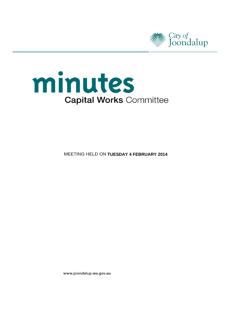



**MEETING HELD ON TUESDAY 4 FEBRUARY 2014** 

www.joondalup.wa.gov.au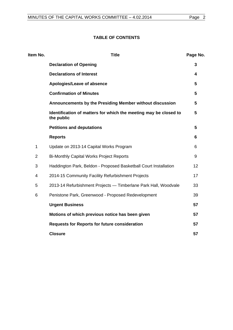# **TABLE OF CONTENTS**

| Item No.       | <b>Title</b>                                                                   | Page No. |
|----------------|--------------------------------------------------------------------------------|----------|
|                | <b>Declaration of Opening</b>                                                  | 3        |
|                | <b>Declarations of Interest</b>                                                | 4        |
|                | Apologies/Leave of absence                                                     | 5        |
|                | <b>Confirmation of Minutes</b>                                                 | 5        |
|                | Announcements by the Presiding Member without discussion                       | 5        |
|                | Identification of matters for which the meeting may be closed to<br>the public | 5        |
|                | <b>Petitions and deputations</b>                                               | 5        |
|                | <b>Reports</b>                                                                 | 6        |
| $\mathbf{1}$   | Update on 2013-14 Capital Works Program                                        | 6        |
| $\overline{2}$ | <b>Bi-Monthly Capital Works Project Reports</b>                                | 9        |
| 3              | Haddington Park, Beldon - Proposed Basketball Court Installation               | 12       |
| $\overline{4}$ | 2014-15 Community Facility Refurbishment Projects                              | 17       |
| 5              | 2013-14 Refurbishment Projects - Timberlane Park Hall, Woodvale                | 33       |
| 6              | Penistone Park, Greenwood - Proposed Redevelopment                             | 39       |
|                | <b>Urgent Business</b>                                                         | 57       |
|                | Motions of which previous notice has been given                                | 57       |
|                | <b>Requests for Reports for future consideration</b>                           | 57       |
|                | <b>Closure</b>                                                                 | 57       |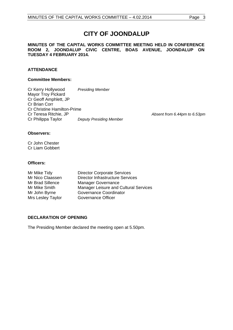# **CITY OF JOONDALUP**

#### <span id="page-2-0"></span>**MINUTES OF THE CAPITAL WORKS COMMITTEE MEETING HELD IN CONFERENCE ROOM 2, JOONDALUP CIVIC CENTRE, BOAS AVENUE, JOONDALUP ON TUESDAY 4 FEBRUARY 2014.**

# **ATTENDANCE**

# **Committee Members:**

Cr Kerry Hollywood *Presiding Member* Mayor Troy Pickard Cr Geoff Amphlett, JP Cr Brian Corr Cr Christine Hamilton-Prime Cr Teresa Ritchie, JP *Absent from 6.44pm to 6.53pm*  Cr Philippa Taylor *Deputy Presiding Member* 

# **Observers:**

Cr John Chester Cr Liam Gobbert

# **Officers:**

| Mr Mike Tidy      | <b>Director Corporate Services</b>      |
|-------------------|-----------------------------------------|
| Mr Nico Claassen  | <b>Director Infrastructure Services</b> |
| Mr Brad Sillence  | <b>Manager Governance</b>               |
| Mr Mike Smith     | Manager Leisure and Cultural Services   |
| Mr John Byrne     | Governance Coordinator                  |
| Mrs Lesley Taylor | Governance Officer                      |

# **DECLARATION OF OPENING**

The Presiding Member declared the meeting open at 5.50pm.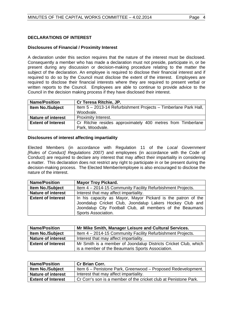# <span id="page-3-0"></span>**DECLARATIONS OF INTEREST**

#### **Disclosures of Financial / Proximity Interest**

A declaration under this section requires that the nature of the interest must be disclosed. Consequently a member who has made a declaration must not preside, participate in, or be present during any discussion or decision-making procedure relating to the matter the subject of the declaration. An employee is required to disclose their financial interest and if required to do so by the Council must disclose the extent of the interest. Employees are required to disclose their financial interests where they are required to present verbal or written reports to the Council. Employees are able to continue to provide advice to the Council in the decision making process if they have disclosed their interest.

| <b>Name/Position</b>      | Cr Teresa Ritchie, JP.                                          |  |  |
|---------------------------|-----------------------------------------------------------------|--|--|
| <b>Item No./Subject</b>   | Item 5 - 2013-14 Refurbishment Projects - Timberlane Park Hall, |  |  |
|                           | Woodvale.                                                       |  |  |
| <b>Nature of interest</b> | <b>Proximity Interest.</b>                                      |  |  |
| <b>Extent of Interest</b> | Cr Ritchie resides approximately 400 metres from Timberlane     |  |  |
|                           | Park, Woodvale.                                                 |  |  |

#### **Disclosures of interest affecting impartiality**

Elected Members (in accordance with Regulation 11 of the *Local Government [Rules of Conduct] Regulations 2007)* and employees (in accordance with the Code of Conduct) are required to declare any interest that may affect their impartiality in considering a matter. This declaration does not restrict any right to participate in or be present during the decision-making process. The Elected Member/employee is also encouraged to disclose the nature of the interest.

| <b>Name/Position</b>      | <b>Mayor Troy Pickard.</b>                                                                                                                                                                                    |  |  |
|---------------------------|---------------------------------------------------------------------------------------------------------------------------------------------------------------------------------------------------------------|--|--|
| <b>Item No./Subject</b>   | Item 4 - 2014-15 Community Facility Refurbishment Projects.                                                                                                                                                   |  |  |
| <b>Nature of interest</b> | Interest that may affect impartiality.                                                                                                                                                                        |  |  |
| <b>Extent of Interest</b> | In his capacity as Mayor, Mayor Pickard is the patron of the<br>Joondalup Cricket Club, Joondalup Lakers Hockey Club and<br>Joondalup City Football Club, all members of the Beaumaris<br>Sports Association. |  |  |

| <b>Name/Position</b>      | Mr Mike Smith, Manager Leisure and Cultural Services.           |
|---------------------------|-----------------------------------------------------------------|
| <b>Item No./Subject</b>   | Item 4 - 2014-15 Community Facility Refurbishment Projects.     |
| <b>Nature of interest</b> | Interest that may affect impartiality.                          |
| <b>Extent of Interest</b> | Mr Smith is a member of Joondalup Districts Cricket Club, which |
|                           | is a member of the Beaumaris Sports Association.                |

| <b>Name/Position</b>      | <b>Cr Brian Corr.</b>                                            |
|---------------------------|------------------------------------------------------------------|
| <b>Item No./Subject</b>   | Item 6 - Penistone Park, Greenwood - Proposed Redevelopment.     |
| <b>Nature of interest</b> | Interest that may affect impartiality.                           |
| <b>Extent of Interest</b> | Cr Corr's son is a member of the cricket club at Penistone Park. |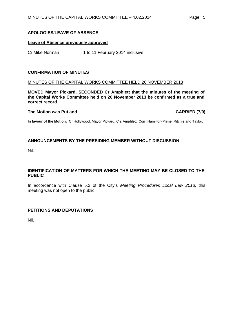# <span id="page-4-0"></span>**APOLOGIES/LEAVE OF ABSENCE**

#### **Leave of Absence previously approved**

Cr Mike Norman 1 to 11 February 2014 inclusive.

#### **CONFIRMATION OF MINUTES**

#### MINUTES OF THE CAPITAL WORKS COMMITTEE HELD 26 NOVEMBER 2013

**MOVED Mayor Pickard, SECONDED Cr Amphlett that the minutes of the meeting of the Capital Works Committee held on 26 November 2013 be confirmed as a true and correct record.** 

#### The Motion was Put and **CARRIED** (7/0)

**In favour of the Motion:** Cr Hollywood, Mayor Pickard, Crs Amphlett, Corr, Hamilton-Prime, Ritchie and Taylor.

# **ANNOUNCEMENTS BY THE PRESIDING MEMBER WITHOUT DISCUSSION**

Nil.

# **IDENTIFICATION OF MATTERS FOR WHICH THE MEETING MAY BE CLOSED TO THE PUBLIC**

In accordance with Clause 5.2 of the City's *Meeting Procedures Local Law 2013*, this meeting was not open to the public.

# **PETITIONS AND DEPUTATIONS**

Nil.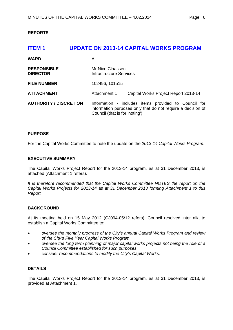# <span id="page-5-0"></span>**REPORTS**

| <b>ITEM1</b>                          | <b>UPDATE ON 2013-14 CAPITAL WORKS PROGRAM</b>                                                                                                         |
|---------------------------------------|--------------------------------------------------------------------------------------------------------------------------------------------------------|
| <b>WARD</b>                           | All                                                                                                                                                    |
| <b>RESPONSIBLE</b><br><b>DIRECTOR</b> | Mr Nico Claassen<br>Infrastructure Services                                                                                                            |
| <b>FILE NUMBER</b>                    | 102496, 101515                                                                                                                                         |
| <b>ATTACHMENT</b>                     | Attachment 1<br>Capital Works Project Report 2013-14                                                                                                   |
| <b>AUTHORITY / DISCRETION</b>         | Information - includes items provided to Council for<br>information purposes only that do not require a decision of<br>Council (that is for 'noting'). |

# **PURPOSE**

For the Capital Works Committee to note the update on the *2013-14 Capital Works Program*.

# **EXECUTIVE SUMMARY**

The Capital Works Project Report for the 2013-14 program, as at 31 December 2013, is attached (Attachment 1 refers).

*It is therefore recommended that the Capital Works Committee NOTES the report on the Capital Works Projects for 2013-14 as at 31 December 2013 forming Attachment 1 to this Report.* 

# **BACKGROUND**

At its meeting held on 15 May 2012 (CJ094-05/12 refers), Council resolved inter alia to establish a Capital Works Committee to:

- *oversee the monthly progress of the City's annual Capital Works Program and review of the City's Five Year Capital Works Program*
- *oversee the long term planning of major capital works projects not being the role of a Council Committee established for such purposes*
- *consider recommendations to modify the City's Capital Works.*

# **DETAILS**

The Capital Works Project Report for the 2013-14 program, as at 31 December 2013, is provided at Attachment 1.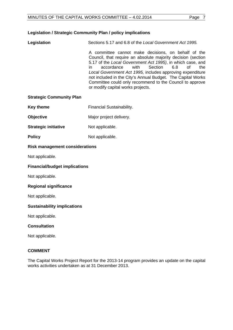# **Legislation / Strategic Community Plan / policy implications**

**Legislation** Sections 5.17 and 6.8 of the *Local Government Act 1995.*  A committee cannot make decisions, on behalf of the

Council, that require an absolute majority decision (section 5.17 of the *Local Government Act 1995)*, in which case, and in accordance with Section 6.8 of the *Local Government Act 1995,* includes approving expenditure not included in the City's Annual Budget. The Capital Works Committee could only recommend to the Council to approve or modify capital works projects.

# **Strategic Community Plan**

- **Key theme Financial Sustainability.**
- **Objective**  Major project delivery.
- **Strategic initiative Mot applicable.**
- **Policy** Not applicable.

# **Risk management considerations**

Not applicable.

#### **Financial/budget implications**

Not applicable.

#### **Regional significance**

Not applicable.

#### **Sustainability implications**

Not applicable.

# **Consultation**

Not applicable.

# **COMMENT**

The Capital Works Project Report for the 2013-14 program provides an update on the capital works activities undertaken as at 31 December 2013.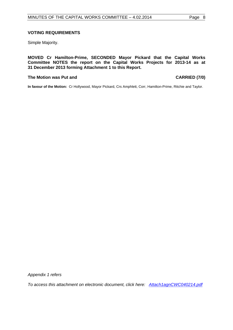Simple Majority.

**MOVED Cr Hamilton-Prime, SECONDED Mayor Pickard that the Capital Works Committee NOTES the report on the Capital Works Projects for 2013-14 as at 31 December 2013 forming Attachment 1 to this Report.** 

#### The Motion was Put and **CARRIED** (7/0)

**In favour of the Motion:** Cr Hollywood, Mayor Pickard, Crs Amphlett, Corr, Hamilton-Prime, Ritchie and Taylor.

*Appendix 1 refers* 

*[To access this attachment on electronic document, click here: Attach1agnCWC040214.pdf](http://www.joondalup.wa.gov.au/files/committees/CWOC/2014/Attach1agnCWC040214.pdf)*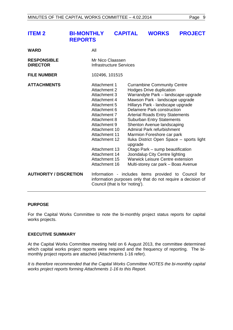<span id="page-8-0"></span>

| <b>ITEM 2</b>                         | <b>BI-MONTHLY</b><br><b>REPORTS</b> |                                             | <b>CAPITAL</b> | <b>WORKS</b>                                                  | <b>PROJECT</b> |
|---------------------------------------|-------------------------------------|---------------------------------------------|----------------|---------------------------------------------------------------|----------------|
| <b>WARD</b>                           | All                                 |                                             |                |                                                               |                |
| <b>RESPONSIBLE</b><br><b>DIRECTOR</b> |                                     | Mr Nico Claassen<br>Infrastructure Services |                |                                                               |                |
| <b>FILE NUMBER</b>                    |                                     | 102496, 101515                              |                |                                                               |                |
| <b>ATTACHMENTS</b>                    |                                     | Attachment 1<br>Attachmant 2                |                | <b>Currambine Community Centre</b><br>Hodge Drive duplication |                |

|                               | Attachment 2                    | Hodges Drive duplication                                                                                            |
|-------------------------------|---------------------------------|---------------------------------------------------------------------------------------------------------------------|
|                               | Attachment 3                    | Warrandyte Park - landscape upgrade                                                                                 |
|                               | Attachment 4                    | Mawson Park - landscape upgrade                                                                                     |
|                               | Attachment 5                    | Hillarys Park - landscape upgrade                                                                                   |
|                               | Attachment 6                    | Delamere Park construction                                                                                          |
|                               | Attachment 7                    | <b>Arterial Roads Entry Statements</b>                                                                              |
|                               | Attachment 8                    | <b>Suburban Entry Statements</b>                                                                                    |
|                               | Attachment 9                    | Shenton Avenue landscaping                                                                                          |
|                               | Attachment 10                   | Admiral Park refurbishment                                                                                          |
|                               | Attachment 11                   | Marmion Foreshore car park                                                                                          |
|                               | Attachment 12                   | Iluka District Open Space - sports light<br>upgrade                                                                 |
|                               | Attachment 13                   | Otago Park - sump beautification                                                                                    |
|                               | Attachment 14                   | Joondalup City Centre lighting                                                                                      |
|                               | Attachment 15                   | <b>Warwick Leisure Centre extension</b>                                                                             |
|                               | Attachment 16                   | Multi-storey car park - Boas Avenue                                                                                 |
| <b>AUTHORITY / DISCRETION</b> | Council (that is for 'noting'). | Information - includes items provided to Council for<br>information purposes only that do not require a decision of |

# **PURPOSE**

For the Capital Works Committee to note the bi-monthly project status reports for capital works projects.

#### **EXECUTIVE SUMMARY**

At the Capital Works Committee meeting held on 6 August 2013, the committee determined which capital works project reports were required and the frequency of reporting. The bimonthly project reports are attached (Attachments 1-16 refer).

*It is therefore recommended that the Capital Works Committee NOTES the bi-monthly capital works project reports forming Attachments 1-16 to this Report.*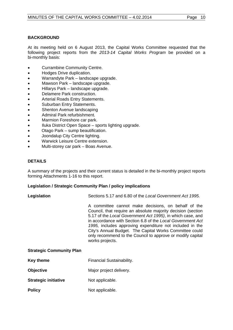# **BACKGROUND**

At its meeting held on 6 August 2013, the Capital Works Committee requested that the following project reports from the *2013-14 Capital Works Program* be provided on a bi-monthly basis:

- Currambine Community Centre.
- Hodges Drive duplication.
- Warrandyte Park landscape upgrade.
- Mawson Park landscape upgrade.
- Hillarys Park landscape upgrade.
- Delamere Park construction.
- Arterial Roads Entry Statements.
- Suburban Entry Statements.
- Shenton Avenue landscaping
- Admiral Park refurbishment.
- Marmion Foreshore car park.
- Iluka District Open Space sports lighting upgrade.
- Otago Park sump beautification.
- Joondalup City Centre lighting.
- Warwick Leisure Centre extension.
- Multi-storey car park Boas Avenue.

# **DETAILS**

A summary of the projects and their current status is detailed in the bi-monthly project reports forming Attachments 1-16 to this report.

# **Legislation / Strategic Community Plan / policy implications**

| Legislation                     | Sections 5.17 and 6.80 of the Local Government Act 1995.                                                                                                                                                                                                                                                                                                                                                                                                |
|---------------------------------|---------------------------------------------------------------------------------------------------------------------------------------------------------------------------------------------------------------------------------------------------------------------------------------------------------------------------------------------------------------------------------------------------------------------------------------------------------|
|                                 | A committee cannot make decisions, on behalf of the<br>Council, that require an absolute majority decision (section<br>5.17 of the Local Government Act 1995), in which case, and<br>in accordance with Section 6.8 of the Local Government Act<br>1995, includes approving expenditure not included in the<br>City's Annual Budget. The Capital Works Committee could<br>only recommend to the Council to approve or modify capital<br>works projects. |
| <b>Strategic Community Plan</b> |                                                                                                                                                                                                                                                                                                                                                                                                                                                         |
| Key theme                       | Financial Sustainability.                                                                                                                                                                                                                                                                                                                                                                                                                               |
| Objective                       | Major project delivery.                                                                                                                                                                                                                                                                                                                                                                                                                                 |
| <b>Strategic initiative</b>     | Not applicable.                                                                                                                                                                                                                                                                                                                                                                                                                                         |
| Policy                          | Not applicable.                                                                                                                                                                                                                                                                                                                                                                                                                                         |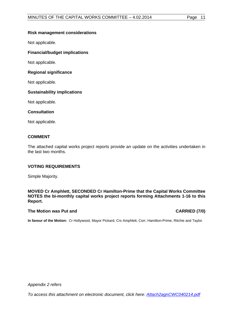# **Risk management considerations**

Not applicable.

#### **Financial/budget implications**

Not applicable.

#### **Regional significance**

Not applicable.

#### **Sustainability implications**

Not applicable.

#### **Consultation**

Not applicable.

#### **COMMENT**

The attached capital works project reports provide an update on the activities undertaken in the last two months.

#### **VOTING REQUIREMENTS**

Simple Majority.

#### **MOVED Cr Amphlett, SECONDED Cr Hamilton-Prime that the Capital Works Committee NOTES the bi-monthly capital works project reports forming Attachments 1-16 to this Report.**

#### The Motion was Put and **CARRIED** (7/0)

**In favour of the Motion:** Cr Hollywood, Mayor Pickard, Crs Amphlett, Corr, Hamilton-Prime, Ritchie and Taylor.

*Appendix 2 refers* 

*[To access this attachment on electronic document, click here: Attach2agnCWC040214.pdf](http://www.joondalup.wa.gov.au/files/committees/CWOC/2014/Attach2agnCWC040214.pdf)*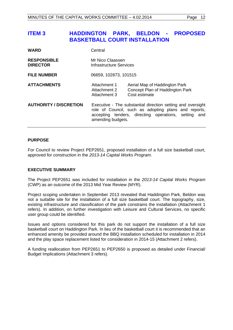# <span id="page-11-0"></span>**ITEM 3 HADDINGTON PARK, BELDON - PROPOSED BASKETBALL COURT INSTALLATION**

| <b>WARD</b>                           | Central                                                                                                                                                                                          |                                                                                   |
|---------------------------------------|--------------------------------------------------------------------------------------------------------------------------------------------------------------------------------------------------|-----------------------------------------------------------------------------------|
| <b>RESPONSIBLE</b><br><b>DIRECTOR</b> | Mr Nico Claassen<br>Infrastructure Services                                                                                                                                                      |                                                                                   |
| <b>FILE NUMBER</b>                    | 06659, 102873, 101515                                                                                                                                                                            |                                                                                   |
| <b>ATTACHMENTS</b>                    | Attachment 1<br>Attachment 2<br>Attachment 3                                                                                                                                                     | Aerial Map of Haddington Park<br>Concept Plan of Haddington Park<br>Cost estimate |
| <b>AUTHORITY / DISCRETION</b>         | Executive - The substantial direction setting and oversight<br>role of Council, such as adopting plans and reports,<br>accepting tenders, directing operations, setting and<br>amending budgets. |                                                                                   |

# **PURPOSE**

For Council to review Project PEP2651, proposed installation of a full size basketball court, approved for construction in the *2013-14 Capital Works Program*.

#### **EXECUTIVE SUMMARY**

The Project PEP2651 was included for installation in the *2013-14 Capital Works Program* (CWP) as an outcome of the 2013 Mid Year Review (MYR).

Project scoping undertaken in September 2013 revealed that Haddington Park, Beldon was not a suitable site for the installation of a full size basketball court. The topography, size, existing infrastructure and classification of the park constrains the installation (Attachment 1 refers). In addition, on further investigation with Leisure and Cultural Services, no specific user group could be identified.

Issues and options considered for this park do not support the installation of a full size basketball court on Haddington Park. In lieu of the basketball court it is recommended that an enhanced amenity be provided around the BBQ installation scheduled for installation in 2014 and the play space replacement listed for consideration in 2014-15 (Attachment 2 refers).

A funding reallocation from PEP2651 to PEP2650 is proposed as detailed under Financial/ Budget Implications (Attachment 3 refers).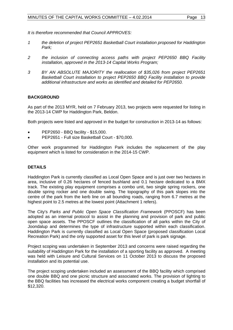*It is therefore recommended that Council APPROVES:* 

- *1 the deletion of project PEP2651 Basketball Court installation proposed for Haddington Park;*
- *2 the inclusion of connecting access paths with project PEP2650 BBQ Facility installation, approved in the 2013-14 Capital Works Program;*
- *3 BY AN ABSOLUTE MAJORITY the reallocation of \$35,026 from project PEP2651 Basketball Court installation to project PEP2650 BBQ Facility installation to provide additional infrastructure and works as identified and detailed for PEP2650.*

# **BACKGROUND**

As part of the 2013 MYR, held on 7 February 2013, two projects were requested for listing in the 2013-14 CWP for Haddington Park, Beldon.

Both projects were listed and approved in the budget for construction in 2013-14 as follows:

- PEP2650 BBQ facility \$15,000.
- PEP2651 Full size Basketball Court \$70,000.

Other work programmed for Haddington Park includes the replacement of the play equipment which is listed for consideration in the 2014-15 CWP.

# **DETAILS**

Haddington Park is currently classified as Local Open Space and is just over two hectares in area, inclusive of 0.26 hectares of fenced bushland and 0.1 hectare dedicated to a BMX track. The existing play equipment comprises a combo unit, two single spring rockers, one double spring rocker and one double swing. The topography of this park slopes into the centre of the park from the kerb line on all bounding roads, ranging from 6.7 metres at the highest point to 2.5 metres at the lowest point (Attachment 1 refers).

The City's *Parks and Public Open Space Classification Framework* (PPOSCF) has been adopted as an internal protocol to assist in the planning and provision of park and public open space assets. The PPOSCF outlines the classification of all parks within the City of Joondalup and determines the type of infrastructure supported within each classification. Haddington Park is currently classified as Local Open Space (proposed classification Local Recreation Park) and the only supported asset for this level of park is park signage.

Project scoping was undertaken in September 2013 and concerns were raised regarding the suitability of Haddington Park for the installation of a sporting facility as approved. A meeting was held with Leisure and Cultural Services on 11 October 2013 to discuss the proposed installation and its potential use.

The project scoping undertaken included an assessment of the BBQ facility which comprised one double BBQ and one picnic structure and associated works. The provision of lighting to the BBQ facilities has increased the electrical works component creating a budget shortfall of \$12,320.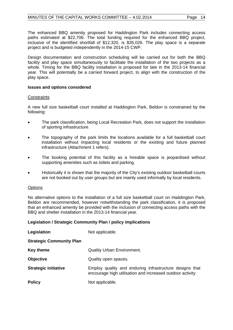The enhanced BBQ amenity proposed for Haddington Park includes connecting access paths estimated at \$22,706. The total funding required for the enhanced BBQ project, inclusive of the identified shortfall of \$12,320, is \$35,026. The play space is a separate project and is budgeted independently in the 2014-15 CWP.

Design documentation and construction scheduling will be carried out for both the BBQ facility and play space simultaneously to facilitate the installation of the two projects as a whole. Timing for the BBQ facility installation is proposed for late in the 2013-14 financial year. This will potentially be a carried forward project, to align with the construction of the play space.

# **Issues and options considered**

# **Constraints**

A new full size basketball court installed at Haddington Park, Beldon is constrained by the following:

- The park classification, being Local Recreation Park, does not support the installation of sporting infrastructure.
- The topography of the park limits the locations available for a full basketball court installation without impacting local residents or the existing and future planned infrastructure (Attachment 1 refers).
- The booking potential of this facility as a hireable space is jeopardised without supporting amenities such as toilets and parking.
- Historically it is shown that the majority of the City's existing outdoor basketball courts are not booked out by user groups but are mainly used informally by local residents.

# **Options**

No alternative options to the installation of a full size basketball court on Haddington Park, Beldon are recommended, however notwithstanding the park classification, it is proposed that an enhanced amenity be provided with the inclusion of connecting access paths with the BBQ and shelter installation in the 2013-14 financial year.

# **Legislation / Strategic Community Plan / policy implications**

| Legislation                     | Not applicable.                                                                                                       |  |
|---------------------------------|-----------------------------------------------------------------------------------------------------------------------|--|
| <b>Strategic Community Plan</b> |                                                                                                                       |  |
| Key theme                       | <b>Quality Urban Environment.</b>                                                                                     |  |
| <b>Objective</b>                | Quality open spaces.                                                                                                  |  |
| <b>Strategic initiative</b>     | Employ quality and enduring infrastructure designs that<br>encourage high utilisation and increased outdoor activity. |  |
| <b>Policy</b>                   | Not applicable.                                                                                                       |  |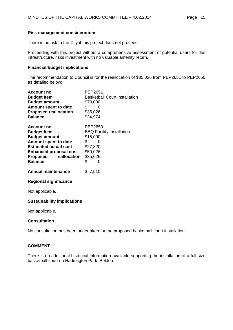# **Risk management considerations**

There is no risk to the City if this project does not proceed.

Proceeding with this project without a comprehensive assessment of potential users for this infrastructure, risks investment with no valuable amenity return.

# **Financial/budget implications**

The recommendation to Council is for the reallocation of \$35,026 from PEP2651 to PEP2650 as detailed below:

| Account no.                   | PEP2651                              |
|-------------------------------|--------------------------------------|
| <b>Budget Item</b>            | <b>Basketball Court installation</b> |
| <b>Budget amount</b>          | \$70,000                             |
| Amount spent to date          | \$<br>O                              |
| <b>Proposed reallocation</b>  | \$35,026                             |
| <b>Balance</b>                | \$34,974                             |
| Account no.                   | PEP2650                              |
|                               |                                      |
| <b>Budget Item</b>            | <b>BBQ Facility installation</b>     |
| <b>Budget amount</b>          | \$15,000                             |
| Amount spent to date          | \$<br>$\mathbf{\Omega}$              |
| <b>Estimated actual cost</b>  | \$27,320                             |
| <b>Enhanced proposal cost</b> | \$50,026                             |
| reallocation<br>Proposed      | \$35,026                             |
| <b>Balance</b>                | \$<br>O                              |
| <b>Annual maintenance</b>     | \$7,510                              |

#### **Regional significance**

Not applicable.

# **Sustainability implications**

Not applicable.

# **Consultation**

No consultation has been undertaken for the proposed basketball court installation.

# **COMMENT**

There is no additional historical information available supporting the installation of a full size basketball court on Haddington Park, Beldon.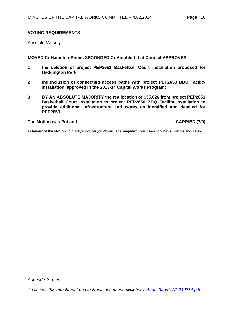# **VOTING REQUIREMENTS**

Absolute Majority.

**MOVED Cr Hamilton-Prime, SECONDED Cr Amphlett that Council APPROVES:** 

- **1 the deletion of project PEP2651 Basketball Court installation proposed for Haddington Park;**
- **2 the inclusion of connecting access paths with project PEP2650 BBQ Facility installation, approved in the 2013-14 Capital Works Program;**
- **3 BY AN ABSOLUTE MAJORITY the reallocation of \$35,026 from project PEP2651 Basketball Court installation to project PEP2650 BBQ Facility installation to provide additional infrastructure and works as identified and detailed for PEP2650.**

#### The Motion was Put and **CARRIED** (7/0)

**In favour of the Motion:** Cr Hollywood, Mayor Pickard, Crs Amphlett, Corr, Hamilton-Prime, Ritchie and Taylor.

*Appendix 3 refers* 

*[To access this attachment on electronic document, click here: Attach3agnCWC040214.pdf](http://www.joondalup.wa.gov.au/files/committees/CWOC/2014/Attach3agnCWC040214.pdf)*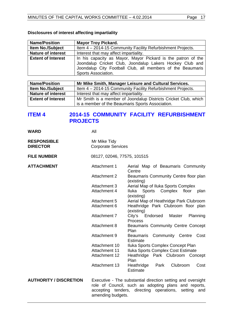# <span id="page-16-0"></span>**Disclosures of interest affecting impartiality**

| <b>Name/Position</b>      | <b>Mayor Troy Pickard.</b>                                                                                                                                                                                    |
|---------------------------|---------------------------------------------------------------------------------------------------------------------------------------------------------------------------------------------------------------|
| <b>Item No./Subject</b>   | Item 4 - 2014-15 Community Facility Refurbishment Projects.                                                                                                                                                   |
| <b>Nature of interest</b> | Interest that may affect impartiality.                                                                                                                                                                        |
| <b>Extent of Interest</b> | In his capacity as Mayor, Mayor Pickard is the patron of the<br>Joondalup Cricket Club, Joondalup Lakers Hockey Club and<br>Joondalup City Football Club, all members of the Beaumaris<br>Sports Association. |

| <b>Name/Position</b>      | Mr Mike Smith, Manager Leisure and Cultural Services.           |
|---------------------------|-----------------------------------------------------------------|
| <b>Item No./Subject</b>   | Item 4 - 2014-15 Community Facility Refurbishment Projects.     |
| <b>Nature of interest</b> | Interest that may affect impartiality.                          |
| <b>Extent of Interest</b> | Mr Smith is a member of Joondalup Districts Cricket Club, which |
|                           | is a member of the Beaumaris Sports Association.                |

# **ITEM 4 2014-15 COMMUNITY FACILITY REFURBISHMENT PROJECTS**

| <b>WARD</b>                           | All                                       |                                                                                                                                                                                   |
|---------------------------------------|-------------------------------------------|-----------------------------------------------------------------------------------------------------------------------------------------------------------------------------------|
| <b>RESPONSIBLE</b><br><b>DIRECTOR</b> | Mr Mike Tidy<br><b>Corporate Services</b> |                                                                                                                                                                                   |
| <b>FILE NUMBER</b>                    | 08127, 02046, 77575, 101515               |                                                                                                                                                                                   |
| <b>ATTACHMENT</b>                     | Attachment 1                              | Aerial Map of Beaumaris Community<br>Centre                                                                                                                                       |
|                                       | <b>Attachment 2</b>                       | Beaumaris Community Centre floor plan<br>(existing)                                                                                                                               |
|                                       | Attachment 3                              | Aerial Map of Iluka Sports Complex                                                                                                                                                |
|                                       | Attachment 4                              | Iluka<br>Sports Complex<br>floor<br>plan                                                                                                                                          |
|                                       |                                           | (existing)                                                                                                                                                                        |
|                                       | Attachment 5                              | Aerial Map of Heathridge Park Clubroom                                                                                                                                            |
|                                       | Attachment 6                              | Heathridge Park Clubroom floor plan<br>(existing)                                                                                                                                 |
|                                       | Attachment 7                              | City's Endorsed<br>Planning<br>Master<br>Process                                                                                                                                  |
|                                       | Attachment 8                              | <b>Beaumaris Community Centre Concept</b><br>Plan                                                                                                                                 |
|                                       | Attachment 9                              | <b>Community Centre</b><br><b>Beaumaris</b><br>Cost<br>Estimate                                                                                                                   |
|                                       | Attachment 10                             | Iluka Sports Complex Concept Plan                                                                                                                                                 |
|                                       | Attachment 11                             | Iluka Sports Complex Cost Estimate                                                                                                                                                |
|                                       | Attachment 12                             | Heathridge Park Clubroom Concept<br>Plan                                                                                                                                          |
|                                       | Attachment 13                             | Clubroom<br>Heathridge<br>Park<br>Cost<br>Estimate                                                                                                                                |
| <b>AUTHORITY / DISCRETION</b>         | amending budgets.                         | Executive - The substantial direction setting and oversight<br>role of Council, such as adopting plans and reports,<br>accepting tenders, directing operations,<br>setting<br>and |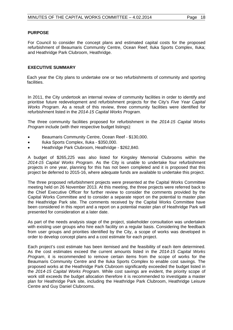#### **PURPOSE**

For Council to consider the concept plans and estimated capital costs for the proposed refurbishment of Beaumaris Community Centre, Ocean Reef; Iluka Sports Complex, Iluka; and Heathridge Park Clubroom, Heathridge.

#### **EXECUTIVE SUMMARY**

Each year the City plans to undertake one or two refurbishments of community and sporting facilities.

In 2011, the City undertook an internal review of community facilities in order to identify and prioritise future redevelopment and refurbishment projects for the City's *Five Year Capital Works Program*. As a result of this review, three community facilities were identified for refurbishment listed in the *2014-15 Capital Works Program*.

The three community facilities proposed for refurbishment in the *2014-15 Capital Works Program* include (with their respective budget listings):

- Beaumaris Community Centre, Ocean Reef \$130,000.
- Iluka Sports Complex, Iluka \$350,000.
- Heathridge Park Clubroom, Heathridge \$262,840.

A budget of \$265,225 was also listed for Kingsley Memorial Clubrooms within the *2014-15 Capital Works Program*. As the City is unable to undertake four refurbishment projects in one year, planning for this has not been completed and it is proposed that this project be deferred to 2015-16, where adequate funds are available to undertake this project.

The three proposed refurbishment projects were presented at the Capital Works Committee meeting held on 26 November 2013. At this meeting, the three projects were referred back to the Chief Executive Officer for further review to consider the comments provided by the Capital Works Committee and to consider a separate report on the potential to master plan the Heathridge Park site. The comments received by the Capital Works Committee have been considered in this report and a report on a potential master plan of Heathridge Park will presented for consideration at a later date.

As part of the needs analysis stage of the project, stakeholder consultation was undertaken with existing user groups who hire each facility on a regular basis. Considering the feedback from user groups and priorities identified by the City, a scope of works was developed in order to develop concept plans and a cost estimate for each project.

Each project's cost estimate has been itemised and the feasibility of each item determined. As the cost estimates exceed the current amounts listed in the *2014-15 Capital Works Program*, it is recommended to remove certain items from the scope of works for the Beaumaris Community Centre and the Iluka Sports Complex to enable cost savings. The proposed works at the Heathridge Park Clubroom significantly exceeded the budget listed in the *2014-15 Capital Works Program*. While cost savings are evident, the priority scope of work still exceeds the budget allocation therefore it is recommended to investigate a master plan for Heathridge Park site, including the Heathridge Park Clubroom, Heathridge Leisure Centre and Guy Daniel Clubrooms.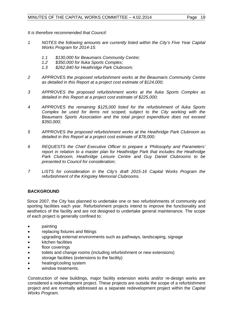*It is therefore recommended that Council:* 

- *1 NOTES the following amounts are currently listed within the City's Five Year Capital Works Program for 2014-15:* 
	- *1.1 \$130,000 for Beaumaris Community Centre;*
	- *1.2 \$350,000 for Iluka Sports Complex;*
	- *1.3 \$262,840 for Heathridge Park Clubroom;*
- *2 APPROVES the proposed refurbishment works at the Beaumaris Community Centre as detailed in this Report at a project cost estimate of \$124,000;*
- *3 APPROVES the proposed refurbishment works at the Iluka Sports Complex as detailed in this Report at a project cost estimate of \$225,000;*
- *4 APPROVES the remaining \$125,000 listed for the refurbishment of Iluka Sports Complex be used for items not scoped, subject to the City working with the Beaumaris Sports Association and the total project expenditure does not exceed \$350,000;*
- *5 APPROVES the proposed refurbishment works at the Heathridge Park Clubroom as detailed in this Report at a project cost estimate of \$78,000;*
- *6 REQUESTS the Chief Executive Officer to prepare a 'Philosophy and Parameters' report in relation to a master plan for Heathridge Park that includes the Heathridge Park Clubroom, Heathridge Leisure Centre and Guy Daniel Clubrooms to be presented to Council for consideration;*
- *7 LISTS for consideration in the City's draft 2015-16 Capital Works Program the refurbishment of the Kingsley Memorial Clubrooms.*

# **BACKGROUND**

Since 2007, the City has planned to undertake one or two refurbishments of community and sporting facilities each year. Refurbishment projects intend to improve the functionality and aesthetics of the facility and are not designed to undertake general maintenance. The scope of each project is generally confined to:

- painting
- replacing fixtures and fittings
- upgrading external environments such as pathways, landscaping, signage
- **•** kitchen facilities
- floor coverings
- toilets and change rooms (including refurbishment or new extensions)
- storage facilities (extensions to the facility)
- heating/cooling system
- window treatments.

Construction of new buildings, major facility extension works and/or re-design works are considered a redevelopment project. These projects are outside the scope of a refurbishment project and are normally addressed as a separate redevelopment project within the *Capital Works Program*.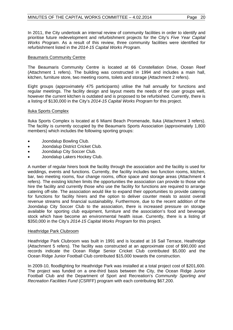In 2011, the City undertook an internal review of community facilities in order to identify and prioritise future redevelopment and refurbishment projects for the City's *Five Year Capital Works Program*. As a result of this review, three community facilities were identified for refurbishment listed in the *2014-15 Capital Works Program*.

#### Beaumaris Community Centre

The Beaumaris Community Centre is located at 66 Constellation Drive, Ocean Reef (Attachment 1 refers). The building was constructed in 1994 and includes a main hall, kitchen, furniture store, two meeting rooms, toilets and storage (Attachment 2 refers).

Eight groups (approximately 475 participants) utilise the hall annually for functions and regular meetings. The facility design and layout meets the needs of the user groups well, however the current kitchen is outdated and is proposed to be refurbished. Currently, there is a listing of \$130,000 in the City's *2014-15 Capital Works Program* for this project.

#### Iluka Sports Complex

Iluka Sports Complex is located at 6 Miami Beach Promenade, Iluka (Attachment 3 refers). The facility is currently occupied by the Beaumaris Sports Association (approximately 1,800 members) which includes the following sporting groups:

- Joondalup Bowling Club.
- Joondalup District Cricket Club.
- Joondalup City Soccer Club.
- Joondalup Lakers Hockey Club.

A number of regular hirers book the facility through the association and the facility is used for weddings, events and functions. Currently, the facility includes two function rooms, kitchen, bar, two meeting rooms, four change rooms, office space and storage areas (Attachment 4 refers). The existing kitchen limits the opportunities the association can provide to those who hire the facility and currently those who use the facility for functions are required to arrange catering off-site. The association would like to expand their opportunities to provide catering for functions for facility hirers and the option to deliver counter meals to assist overall revenue streams and financial sustainability. Furthermore, due to the recent addition of the Joondalup City Soccer Club to the association, there is increased pressure on storage available for sporting club equipment, furniture and the association's food and beverage stock which have become an environmental health issue. Currently, there is a listing of \$350,000 in the City's *2014-15 Capital Works Program* for this project*.* 

#### Heathridge Park Clubroom

Heathridge Park Clubroom was built in 1991 and is located at 16 Sail Terrace, Heathridge (Attachment 5 refers). The facility was constructed at an approximate cost of \$90,000 and records indicate the Ocean Ridge Senior Cricket Club contributed \$5,000 and the Ocean Ridge Junior Football Club contributed \$15,000 towards the construction.

In 2009-10, floodlighting for Heathridge Park was installed at a total project cost of \$201,600. The project was funded on a one-third basis between the City, the Ocean Ridge Junior Football Club and the Department of Sport and Recreation's *Community Sporting and Recreation Facilities Fund* (CSRFF) program with each contributing \$67,200.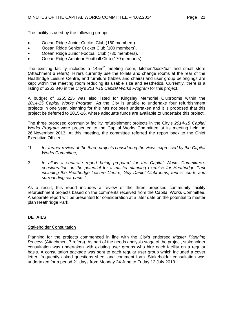The facility is used by the following groups:

- Ocean Ridge Junior Cricket Club (160 members).
- Ocean Ridge Senior Cricket Club (100 members).
- Ocean Ridge Junior Football Club (730 members).
- Ocean Ridge Amateur Football Club (170 members).

The existing facility includes a 145 $m^2$  meeting room, kitchen/kiosk/bar and small store (Attachment 6 refers). Hirers currently use the toilets and change rooms at the rear of the Heathridge Leisure Centre, and furniture (tables and chairs) and user group belongings are kept within the meeting room reducing its usable size and aesthetics. Currently, there is a listing of \$262,840 in the City's *2014-15 Capital Works Program* for this project.

A budget of \$265,225 was also listed for Kingsley Memorial Clubrooms within the *2014-15 Capital Works Program*. As the City is unable to undertake four refurbishment projects in one year, planning for this has not been undertaken and it is proposed that this project be deferred to 2015-16, where adequate funds are available to undertake this project.

The three proposed community facility refurbishment projects in the City's *2014-15 Capital Works Program* were presented to the Capital Works Committee at its meeting held on 26 November 2013. At this meeting, the committee referred the report back to the Chief Executive Officer:

- *"1 for further review of the three projects considering the views expressed by the Capital Works Committee;*
- *2 to allow a separate report being prepared for the Capital Works Committee's consideration on the potential for a master planning exercise for Heathridge Park including the Heathridge Leisure Centre, Guy Daniel Clubrooms, tennis courts and surrounding car parks."*

As a result, this report includes a review of the three proposed community facility refurbishment projects based on the comments received from the Capital Works Committee. A separate report will be presented for consideration at a later date on the potential to master plan Heathridge Park.

# **DETAILS**

# **Stakeholder Consultation**

Planning for the projects commenced in line with the City's endorsed *Master Planning Process* (Attachment 7 refers). As part of the needs analysis stage of the project, stakeholder consultation was undertaken with existing user groups who hire each facility on a regular basis. A consultation package was sent to each regular user group which included a cover letter, frequently asked questions sheet and comment form. Stakeholder consultation was undertaken for a period 21 days from Monday 24 June to Friday 12 July 2013.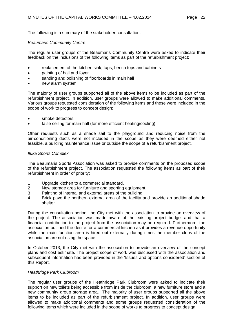The following is a summary of the stakeholder consultation.

# *Beaumaris Community Centre*

The regular user groups of the Beaumaris Community Centre were asked to indicate their feedback on the inclusions of the following items as part of the refurbishment project:

- replacement of the kitchen sink, taps, bench tops and cabinets
- painting of hall and foyer
- sanding and polishing of floorboards in main hall
- new alarm system.

The majority of user groups supported all of the above items to be included as part of the refurbishment project. In addition, user groups were allowed to make additional comments. Various groups requested consideration of the following items and these were included in the scope of work to progress to concept design:

- smoke detectors
- false ceiling for main hall (for more efficient heating/cooling).

Other requests such as a shade sail to the playground and reducing noise from the air-conditioning ducts were not included in the scope as they were deemed either not feasible, a building maintenance issue or outside the scope of a refurbishment project.

# *Iluka Sports Complex*

The Beaumaris Sports Association was asked to provide comments on the proposed scope of the refurbishment project. The association requested the following items as part of their refurbishment in order of priority:

- 1 Upgrade kitchen to a commercial standard.
- 2 New storage area for furniture and sporting equipment.
- 3 Painting of internal and external areas of the building.
- 4 Brick pave the northern external area of the facility and provide an additional shade shelter.

During the consultation period, the City met with the association to provide an overview of the project*.* The association was made aware of the existing project budget and that a financial contribution to the project from the association may be required. Furthermore, the association outlined the desire for a commercial kitchen as it provides a revenue opportunity while the main function area is hired out externally during times the member clubs of the association are not using the space.

In October 2013, the City met with the association to provide an overview of the concept plans and cost estimate. The project scope of work was discussed with the association and subsequent information has been provided in the 'Issues and options considered' section of this Report.

# *Heathridge Park Clubroom*

The regular user groups of the Heathridge Park Clubroom were asked to indicate their support on new toilets being accessible from inside the clubroom, a new furniture store and a new community group storage area. The majority of user groups supported all the above items to be included as part of the refurbishment project. In addition, user groups were allowed to make additional comments and some groups requested consideration of the following items which were included in the scope of works to progress to concept design: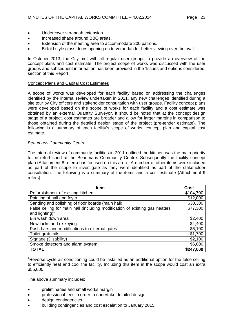- Undercover verandah extension.
- Increased shade around BBQ areas.
- Extension of the meeting area to accommodate 200 patrons.
- Bi-fold style glass doors opening on to verandah for better viewing over the oval.

In October 2013, the City met with all regular user groups to provide an overview of the concept plans and cost estimate. The project scope of works was discussed with the user groups and subsequent information has been provided in the 'Issues and options considered' section of this Report.

#### Concept Plans and Capital Cost Estimates

A scope of works was developed for each facility based on addressing the challenges identified by the internal review undertaken in 2011, any new challenges identified during a site tour by City officers and stakeholder consultation with user groups. Facility concept plans were developed based on the scope of works for each facility and a cost estimate was obtained by an external Quantity Surveyor. It should be noted that at the concept design stage of a project, cost estimates are broader and allow for larger margins in comparison to those obtained during the detailed design stage of the project (pre-tender estimate). The following is a summary of each facility's scope of works, concept plan and capital cost estimate.

# *Beaumaris Community Centre*

The internal review of community facilities in 2011 outlined the kitchen was the main priority to be refurbished at the Beaumaris Community Centre. Subsequently the facility concept plan (Attachment 8 refers) has focused on this area. A number of other items were included as part of the scope to investigate as they were identified as part of the stakeholder consultation. The following is a summary of the items and a cost estimate (Attachment 9 refers):

| <b>Item</b>                                                                 | Cost      |
|-----------------------------------------------------------------------------|-----------|
| Refurbishment of existing kitchen                                           | \$104,700 |
| Painting of hall and foyer                                                  | \$12,000  |
| Sanding and polishing of floor boards (main hall)                           | \$30,300  |
| False ceiling for main hall (including modification of existing gas heaters | \$77,300  |
| and lighting)                                                               |           |
| Bin wash down area                                                          | \$2,400   |
| New locks and re-keying                                                     | \$4,400   |
| Push bars and modifications to external gates                               | \$6,100   |
| Toilet grab rails                                                           | \$1,700   |
| Signage (Disability)                                                        | \$2,100   |
| Smoke detectors and alarm system                                            | \$6,000   |
| <b>TOTAL</b>                                                                | \$247,000 |

<sup>1</sup>Reverse cycle air-conditioning could be installed as an additional option for the false ceiling to efficiently heat and cool the facility. Including this item in the scope would cost an extra \$55,000.

The above summary includes:

- **preliminaries and small works margin**
- professional fees in order to undertake detailed design
- design contingencies
- building contingencies and cost escalation to January 2015.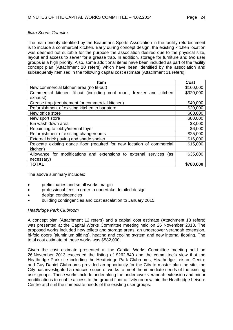# *Iluka Sports Complex*

The main priority identified by the Beaumaris Sports Association in the facility refurbishment is to include a commercial kitchen. Early during concept design, the existing kitchen location was deemed not suitable for the purpose the association desired due to the physical size, layout and access to sewer for a grease trap. In addition, storage for furniture and two user groups is a high priority. Also, some additional items have been included as part of the facility concept plan (Attachment 10 refers) which have been identified by the association and subsequently itemised in the following capital cost estimate (Attachment 11 refers):

| <b>Item</b>                                                            | Cost      |
|------------------------------------------------------------------------|-----------|
| New commercial kitchen area (no fit-out)                               | \$160,000 |
| Commercial kitchen fit-out (including cool room, freezer and kitchen   | \$320,000 |
| exhaust)                                                               |           |
| Grease trap (requirement for commercial kitchen)                       | \$40,000  |
| Refurbishment of existing kitchen to bar store                         | \$20,000  |
| New office store                                                       | \$60,000  |
| New sport store                                                        | \$80,000  |
| Bin wash down area                                                     | \$3,000   |
| Repainting to lobby/internal foyer                                     | \$6,000   |
| Refurbishment of existing changerooms                                  | \$25,000  |
| External brick paving and shade shelter                                | \$16,000  |
| Relocate existing dance floor (required for new location of commercial | \$15,000  |
| kitchen)                                                               |           |
| Allowance for modifications and extensions to external services<br>(as | \$35,000  |
| necessary)                                                             |           |
| <b>TOTAL</b>                                                           | \$780,000 |

The above summary includes:

- preliminaries and small works margin
- professional fees in order to undertake detailed design
- design contingencies
- building contingencies and cost escalation to January 2015.

# *Heathridge Park Clubroom*

A concept plan (Attachment 12 refers) and a capital cost estimate (Attachment 13 refers) was presented at the Capital Works Committee meeting held on 26 November 2013. The proposed works included new toilets and storage areas, an undercover verandah extension, bi-fold doors (aluminium sliding), heating and cooling system and new internal flooring. The total cost estimate of these works was \$582,000.

Given the cost estimate presented at the Capital Works Committee meeting held on 26 November 2013 exceeded the listing of \$262,840 and the committee's view that the Heathridge Park site including the Heathridge Park Clubrooms, Heathridge Leisure Centre and Guy Daniel Clubrooms provided an opportunity for the City to master plan the site, the City has investigated a reduced scope of works to meet the immediate needs of the existing user groups. These works include undertaking the undercover verandah extension and minor modifications to enable access to the ground floor activity room within the Heathridge Leisure Centre and suit the immediate needs of the existing user groups.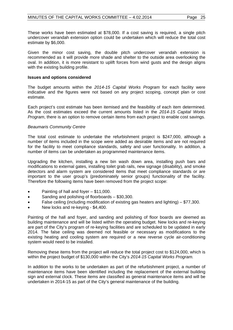These works have been estimated at \$78,000. If a cost saving is required, a single pitch undercover verandah extension option could be undertaken which will reduce the total cost estimate by \$6,000.

Given the minor cost saving, the double pitch undercover verandah extension is recommended as it will provide more shade and shelter to the outside area overlooking the oval. In addition, it is more resistant to uplift forces from wind gusts and the design aligns with the existing building profile.

#### **Issues and options considered**

The budget amounts within the *2014-15 Capital Works Program* for each facility were indicative and the figures were not based on any project scoping, concept plan or cost estimate.

Each project's cost estimate has been itemised and the feasibility of each item determined. As the cost estimates exceed the current amounts listed in the *2014-15 Capital Works Program*, there is an option to remove certain items from each project to enable cost savings.

# *Beaumaris Community Centre*

The total cost estimate to undertake the refurbishment project is \$247,000, although a number of items included in the scope were added as desirable items and are not required for the facility to meet compliance standards, safety and user functionality. In addition, a number of items can be undertaken as programmed maintenance items.

Upgrading the kitchen, installing a new bin wash down area, installing push bars and modifications to external gates, installing toilet grab rails, new signage (disability), and smoke detectors and alarm system are considered items that meet compliance standards or are important to the user group's (predominately senior groups) functionality of the facility. Therefore the following items have been removed from the project scope:

- Painting of hall and foyer \$11,000.
- Sanding and polishing of floorboards \$30,300.
- False ceiling (including modification of existing gas heaters and lighting) \$77,300.
- New locks and re-keying \$4,400.

Painting of the hall and foyer, and sanding and polishing of floor boards are deemed as building maintenance and will be listed within the operating budget. New locks and re-keying are part of the City's program of re-keying facilities and are scheduled to be updated in early 2014. The false ceiling was deemed not feasible or necessary as modifications to the existing heating and cooling system are required or a new reverse cycle air-conditioning system would need to be installed.

Removing these items from the project will reduce the total project cost to \$124,000, which is within the project budget of \$130,000 within the City's *2014-15 Capital Works Program.*

In addition to the works to be undertaken as part of the refurbishment project, a number of maintenance items have been identified including the replacement of the external building sign and external clock. These items are classified as general maintenance items and will be undertaken in 2014-15 as part of the City's general maintenance of the building.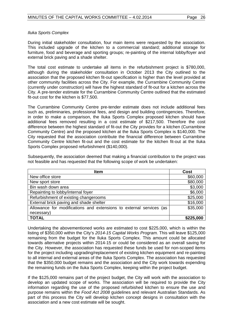#### *Iluka Sports Complex*

During initial stakeholder consultation, four main items were requested by the association. This included upgrade of the kitchen to a commercial standard; additional storage for furniture, food and beverage and sporting groups; re-painting of the internal lobby/foyer and external brick paving and a shade shelter.

The total cost estimate to undertake all items in the refurbishment project is \$780,000, although during the stakeholder consultation in October 2013 the City outlined to the association that the proposed kitchen fit-out specification is higher than the level provided at other community facilities across the City. For example, the Currambine Community Centre (currently under construction) will have the highest standard of fit-out for a kitchen across the City. A pre-tender estimate for the Currambine Community Centre outlined that the estimated fit-out cost for the kitchen is \$77,500.

The Currambine Community Centre pre-tender estimate does not include additional fees such as, preliminaries, professional fees, and design and building contingencies. Therefore, in order to make a comparison, the Iluka Sports Complex proposed kitchen should have additional fees removed resulting in a cost estimate of \$217,500. Therefore the cost difference between the highest standard of fit-out the City provides for a kitchen (Currambine Community Centre) and the proposed kitchen at the Iluka Sports Complex is \$140,000. The City requested that the association contribute the financial difference between Currambine Community Centre kitchen fit-out and the cost estimate for the kitchen fit-out at the Iluka Sports Complex proposed refurbishment (\$140,000).

Subsequently, the association deemed that making a financial contribution to the project was not feasible and has requested that the following scope of work be undertaken:

| <b>Item</b>                                                         | <b>Cost</b> |
|---------------------------------------------------------------------|-------------|
| New office store                                                    | \$60,000    |
| New sport store                                                     | \$80,000    |
| Bin wash down area                                                  | \$3,000     |
| Repainting to lobby/internal foyer                                  | \$6,000     |
| Refurbishment of existing changerooms                               | \$25,000    |
| External brick paving and shade shelter                             | \$16,000    |
| Allowance for modifications and extensions to external services (as | \$35,000    |
| necessary)                                                          |             |
| <b>TOTAL</b>                                                        | \$225,000   |

Undertaking the abovementioned works are estimated to cost \$225,000, which is within the listing of \$350,000 within the City's *2014-15 Capital Works Program.* This will leave \$125,000 remaining from the budget for the Iluka Sports Complex. This amount could be allocated towards alternative projects within 2014-15 or could be considered as an overall saving for the City. However, the association has requested these funds be used for non-scoped items for the project including upgrading/replacement of existing kitchen equipment and re-painting to all internal and external areas of the Iluka Sports Complex. The association has requested that the \$350,000 budget remains and the association and the City work towards expending the remaining funds on the Iluka Sports Complex, keeping within the project budget.

If the \$125,000 remains part of the project budget, the City will work with the association to develop an updated scope of works. The association will be required to provide the City information regarding the use of the proposed refurbished kitchen to ensure the use and purpose remains within the *Food Act 2008* guidelines and relevant Australian Standards. As part of this process the City will develop kitchen concept designs in consultation with the association and a new cost estimate will be sought.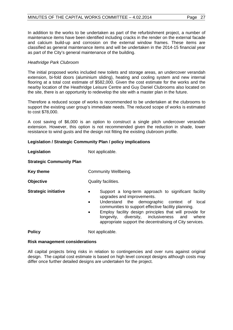In addition to the works to be undertaken as part of the refurbishment project, a number of maintenance items have been identified including cracks in the render on the external facade and calcium build-up and corrosion on the external window frames. These items are classified as general maintenance items and will be undertaken in the 2014-15 financial year as part of the City's general maintenance of the building.

# *Heathridge Park Clubroom*

The initial proposed works included new toilets and storage areas, an undercover verandah extension, bi-fold doors (aluminium sliding), heating and cooling system and new internal flooring at a total cost estimate of \$582,000. Given the cost estimate for the works and the nearby location of the Heathridge Leisure Centre and Guy Daniel Clubrooms also located on the site, there is an opportunity to redevelop the site with a master plan in the future.

Therefore a reduced scope of works is recommended to be undertaken at the clubrooms to support the existing user group's immediate needs. The reduced scope of works is estimated to cost \$78,000.

A cost saving of \$6,000 is an option to construct a single pitch undercover verandah extension. However, this option is not recommended given the reduction in shade, lower resistance to wind gusts and the design not fitting the existing clubroom profile.

#### **Legislation / Strategic Community Plan / policy implications**

**Legislation Not applicable.** 

# **Strategic Community Plan**

**Key theme Community Wellbeing.** 

- **Objective**  Quality facilities.
- 
- **Strategic initiative •** Support a long-term approach to significant facility upgrades and improvements.
	- Understand the demographic context of local communities to support effective facility planning.
	- Employ facility design principles that will provide for longevity, diversity, inclusiveness and where appropriate support the decentralising of City services.

**Policy** Not applicable.

#### **Risk management considerations**

All capital projects bring risks in relation to contingencies and over runs against original design. The capital cost estimate is based on high level concept designs although costs may differ once further detailed designs are undertaken for the project.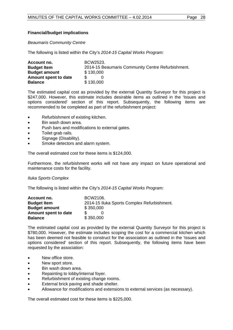# **Financial/budget implications**

# *Beaumaris Community Centre*

The following is listed within the City's *2014-15 Capital Works Program:*

| BCW2523.                                          |
|---------------------------------------------------|
| 2014-15 Beaumaris Community Centre Refurbishment. |
| \$130,000                                         |
| £.                                                |
| \$130,000                                         |
|                                                   |

The estimated capital cost as provided by the external Quantity Surveyor for this project is \$247,000. However, this estimate includes desirable items as outlined in the 'Issues and options considered' section of this report. Subsequently, the following items are recommended to be completed as part of the refurbishment project:

- Refurbishment of existing kitchen.
- Bin wash down area.
- Push bars and modifications to external gates.
- Toilet grab rails.
- Signage (Disability).
- Smoke detectors and alarm system.

The overall estimated cost for these items is \$124,000.

Furthermore, the refurbishment works will not have any impact on future operational and maintenance costs for the facility.

#### *Iluka Sports Complex*

The following is listed within the City's *2014-15 Capital Works Program:*

| Account no.          | BCW2106.                                    |
|----------------------|---------------------------------------------|
| <b>Budget Item</b>   | 2014-15 Iluka Sports Complex Refurbishment. |
| <b>Budget amount</b> | \$350,000                                   |
| Amount spent to date |                                             |
| <b>Balance</b>       | \$350,000                                   |

The estimated capital cost as provided by the external Quantity Surveyor for this project is \$780,000. However, the estimate includes scoping the cost for a commercial kitchen which has been deemed not feasible to construct for the association as outlined in the 'Issues and options considered' section of this report. Subsequently, the following items have been requested by the association:

- New office store.
- New sport store.
- Bin wash down area.
- Repainting to lobby/internal foyer.
- Refurbishment of existing change rooms.
- External brick paving and shade shelter.
- Allowance for modifications and extensions to external services (as necessary).

The overall estimated cost for these items is \$225,000.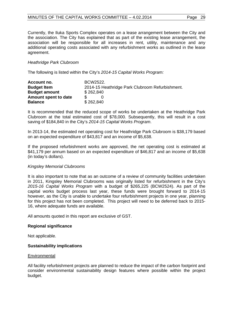Currently, the Iluka Sports Complex operates on a lease arrangement between the City and the association. The City has explained that as part of the existing lease arrangement, the association will be responsible for all increases in rent, utility, maintenance and any additional operating costs associated with any refurbishment works as outlined in the lease agreement.

#### *Heathridge Park Clubroom*

The following is listed within the City's *2014-15 Capital Works Program:*

| Account no.          | BCW2522.                                        |
|----------------------|-------------------------------------------------|
| <b>Budget Item</b>   | 2014-15 Heathridge Park Clubroom Refurbishment. |
| <b>Budget amount</b> | \$262,840                                       |
| Amount spent to date |                                                 |
| <b>Balance</b>       | \$262,840                                       |

It is recommended that the reduced scope of works be undertaken at the Heathridge Park Clubroom at the total estimated cost of \$78,000. Subsequently, this will result in a cost saving of \$184,840 in the City's *2014-15 Capital Works Program*.

In 2013-14, the estimated net operating cost for Heathridge Park Clubroom is \$38,179 based on an expected expenditure of \$43,817 and an income of \$5,638.

If the proposed refurbishment works are approved, the net operating cost is estimated at \$41,179 per annum based on an expected expenditure of \$46,817 and an income of \$5,638 (in today's dollars).

#### *Kingsley Memorial Clubrooms*

It is also important to note that as an outcome of a review of community facilities undertaken in 2011, Kingsley Memorial Clubrooms was originally listed for refurbishment in the City's *2015-16 Capital Works Program* with a budget of \$265,225 (BCW2524). As part of the capital works budget process last year, these funds were brought forward to 2014-15 however, as the City is unable to undertake four refurbishment projects in one year, planning for this project has not been completed. This project will need to be deferred back to 2015- 16, where adequate funds are available.

All amounts quoted in this report are exclusive of GST.

# **Regional significance**

Not applicable.

# **Sustainability implications**

#### **Environmental**

All facility refurbishment projects are planned to reduce the impact of the carbon footprint and consider environmental sustainability design features where possible within the project budget.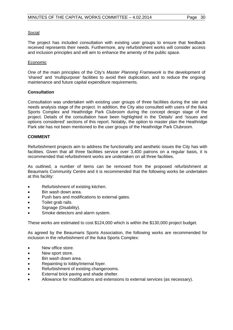#### Social

The project has included consultation with existing user groups to ensure that feedback received represents their needs. Furthermore, any refurbishment works will consider access and inclusion principles and will aim to enhance the amenity of the public space.

#### Economic

One of the main principles of the City's *Master Planning Framework* is the development of 'shared' and 'multipurpose' facilities to avoid their duplication, and to reduce the ongoing maintenance and future capital expenditure requirements.

# **Consultation**

Consultation was undertaken with existing user groups of three facilities during the site and needs analysis stage of the project. In addition, the City also consulted with users of the Iluka Sports Complex and Heathridge Park Clubroom during the concept design stage of the project. Details of the consultation have been highlighted in the 'Details' and 'Issues and options considered' sections of this report. Notably, the option to master plan the Heathridge Park site has not been mentioned to the user groups of the Heathridge Park Clubroom.

# **COMMENT**

Refurbishment projects aim to address the functionality and aesthetic issues the City has with facilities. Given that all three facilities service over 3,400 patrons on a regular basis, it is recommended that refurbishment works are undertaken on all three facilities.

As outlined, a number of items can be removed from the proposed refurbishment at Beaumaris Community Centre and it is recommended that the following works be undertaken at this facility:

- Refurbishment of existing kitchen.
- Bin wash down area.
- Push bars and modifications to external gates.
- Toilet grab rails.
- Signage (Disability).
- Smoke detectors and alarm system.

These works are estimated to cost \$124,000 which is within the \$130,000 project budget.

As agreed by the Beaumaris Sports Association, the following works are recommended for inclusion in the refurbishment of the Iluka Sports Complex:

- New office store.
- New sport store.
- Bin wash down area.
- Repainting to lobby/internal foyer.
- Refurbishment of existing changerooms.
- External brick paving and shade shelter.
- Allowance for modifications and extensions to external services (as necessary).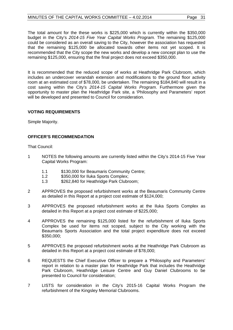The total amount for the these works is \$225,000 which is currently within the \$350,000 budget in the City's *2014-15 Five Year Capital Works Program.* The remaining \$125,000 could be considered as an overall saving to the City, however the association has requested that the remaining \$125,000 be allocated towards other items not yet scoped. It is recommended that the City scope the new works and develop a new concept plan to use the remaining \$125,000, ensuring that the final project does not exceed \$350,000.

It is recommended that the reduced scope of works at Heathridge Park Clubroom, which includes an undercover verandah extension and modifications to the ground floor activity room at an estimated cost of \$78,000, be undertaken. The remaining \$184,840 will result in a cost saving within the City's *2014-15 Capital Works Program*. Furthermore given the opportunity to master plan the Heathridge Park site, a 'Philosophy and Parameters' report will be developed and presented to Council for consideration.

# **VOTING REQUIREMENTS**

Simple Majority.

# **OFFICER'S RECOMMENDATION**

That Council:

- 1 NOTES the following amounts are currently listed within the City's 2014-15 Five Year Capital Works Program:
	- 1.1 \$130,000 for Beaumaris Community Centre;
	- 1.2 \$350,000 for Iluka Sports Complex;
	- 1.3 \$262,840 for Heathridge Park Clubroom;
- 2 APPROVES the proposed refurbishment works at the Beaumaris Community Centre as detailed in this Report at a project cost estimate of \$124,000;
- 3 APPROVES the proposed refurbishment works at the Iluka Sports Complex as detailed in this Report at a project cost estimate of \$225,000;
- 4 APPROVES the remaining \$125,000 listed for the refurbishment of Iluka Sports Complex be used for items not scoped, subject to the City working with the Beaumaris Sports Association and the total project expenditure does not exceed \$350,000;
- 5 APPROVES the proposed refurbishment works at the Heathridge Park Clubroom as detailed in this Report at a project cost estimate of \$78,000;
- 6 REQUESTS the Chief Executive Officer to prepare a 'Philosophy and Parameters' report in relation to a master plan for Heathridge Park that includes the Heathridge Park Clubroom, Heathridge Leisure Centre and Guy Daniel Clubrooms to be presented to Council for consideration;
- 7 LISTS for consideration in the City's 2015-16 Capital Works Program the refurbishment of the Kingsley Memorial Clubrooms.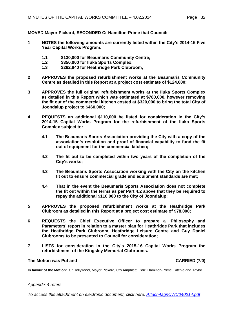**MOVED Mayor Pickard, SECONDED Cr Hamilton-Prime that Council:** 

- **1 NOTES the following amounts are currently listed within the City's 2014-15 Five Year Capital Works Program:** 
	- **1.1 \$130,000 for Beaumaris Community Centre;**
	- **1.2 \$350,000 for Iluka Sports Complex;**
	- **1.3 \$262,840 for Heathridge Park Clubroom;**
- **2 APPROVES the proposed refurbishment works at the Beaumaris Community Centre as detailed in this Report at a project cost estimate of \$124,000;**
- **3 APPROVES the full original refurbishment works at the Iluka Sports Complex as detailed in this Report which was estimated at \$780,000, however removing the fit out of the commercial kitchen costed at \$320,000 to bring the total City of Joondalup project to \$460,000;**
- **4 REQUESTS an additional \$110,000 be listed for consideration in the City's 2014-15 Capital Works Program for the refurbishment of the Iluka Sports Complex subject to:** 
	- **4.1 The Beaumaris Sports Association providing the City with a copy of the association's resolution and proof of financial capability to fund the fit out of equipment for the commercial kitchen;**
	- **4.2 The fit out to be completed within two years of the completion of the City's works;**
	- **4.3 The Beaumaris Sports Association working with the City on the kitchen fit out to ensure commercial grade and equipment standards are met;**
	- **4.4 That in the event the Beaumaris Sports Association does not complete the fit out within the terms as per Part 4.2 above that they be required to repay the additional \$110,000 to the City of Joondalup;**
- **5 APPROVES the proposed refurbishment works at the Heathridge Park Clubroom as detailed in this Report at a project cost estimate of \$78,000;**
- **6 REQUESTS the Chief Executive Officer to prepare a 'Philosophy and Parameters' report in relation to a master plan for Heathridge Park that includes the Heathridge Park Clubroom, Heathridge Leisure Centre and Guy Daniel Clubrooms to be presented to Council for consideration;**
- **7 LISTS for consideration in the City's 2015-16 Capital Works Program the refurbishment of the Kingsley Memorial Clubrooms.**

#### **The Motion was Put and CARRIED (7/0) CARRIED (7/0)**

**In favour of the Motion:** Cr Hollywood, Mayor Pickard, Crs Amphlett, Corr, Hamilton-Prime, Ritchie and Taylor.

#### *Appendix 4 refers*

*[To access this attachment on electronic document, click here: Attach4agnCWC040214.pdf](http://www.joondalup.wa.gov.au/files/committees/CWOC/2014/Attach4agnCWC040214.pdf)*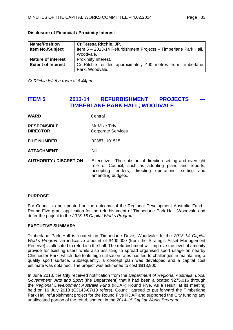| <b>Name/Position</b>      | Cr Teresa Ritchie, JP.                                          |
|---------------------------|-----------------------------------------------------------------|
| <b>Item No./Subject</b>   | Item 5 - 2013-14 Refurbishment Projects - Timberlane Park Hall, |
|                           | Woodvale.                                                       |
| <b>Nature of interest</b> | <b>Proximity Interest.</b>                                      |
| <b>Extent of Interest</b> | Cr Ritchie resides approximately 400 metres from Timberlane     |
|                           | Park, Woodvale.                                                 |

#### <span id="page-32-0"></span>**Disclosure of Financial / Proximity Interest**

*Cr Ritchie left the room at 6.44pm.* 

# **ITEM 5 2013-14 REFURBISHMENT PROJECTS TIMBERLANE PARK HALL, WOODVALE**

| <b>WARD</b>                           | Central                                                                                                                                                                                          |
|---------------------------------------|--------------------------------------------------------------------------------------------------------------------------------------------------------------------------------------------------|
| <b>RESPONSIBLE</b><br><b>DIRECTOR</b> | Mr Mike Tidy<br><b>Corporate Services</b>                                                                                                                                                        |
| <b>FILE NUMBER</b>                    | 02387, 101515                                                                                                                                                                                    |
| ATTACHMENT                            | Nil.                                                                                                                                                                                             |
| <b>AUTHORITY / DISCRETION</b>         | Executive - The substantial direction setting and oversight<br>role of Council, such as adopting plans and reports,<br>accepting tenders, directing operations, setting and<br>amending budgets. |

# **PURPOSE**

For Council to be updated on the outcome of the Regional Development Australia Fund - Round Five grant application for the refurbishment of Timberlane Park Hall, Woodvale and defer the project to the *2015-16 Capital Works Program.*

# **EXECUTIVE SUMMARY**

Timberlane Park Hall is located on Timberlane Drive, Woodvale. In the *2013-14 Capital Works Program* an indicative amount of \$400,000 (from the Strategic Asset Management Reserve) is allocated to refurbish the hall. The refurbishment will improve the level of amenity provide for existing users while also assisting to spread organised sport usage on nearby Chichester Park, which due to its high utilisation rates has led to challenges in maintaining a quality sport surface. Subsequently, a concept plan was developed and a capital cost estimate was obtained. The project was estimated to cost \$813,900.

In June 2013, the City received notification from the *Department of Regional Australia, Local Government, Arts and Sport* (the Department) that it had been allocated \$275,016 through the *Regional Development Australia Fund* (RDAF) Round Five. As a result, at its meeting held on 16 July 2013 (CJ143-07/13 refers), Council agreed to put forward the Timberlane Park Hall refurbishment project for the Round Five RDAF and supported the City funding any unallocated portion of the refurbishment in the *2014-15 Capital Works Program.*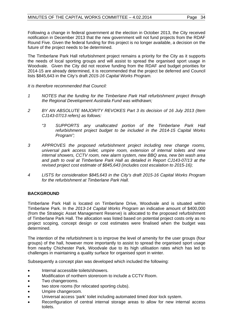Following a change in federal government at the election in October 2013, the City received notification in December 2013 that the new government will not fund projects from the RDAF Round Five. Given the federal funding for this project is no longer available, a decision on the future of the project needs to be determined.

The Timberlane Park Hall refurbishment project remains a priority for the City as it supports the needs of local sporting groups and will assist to spread the organised sport usage in Woodvale. Given the City did not receive funding from the RDAF and budget priorities for 2014-15 are already determined, it is recommended that the project be deferred and Council lists \$845,643 in the City's draft *2015-16 Capital Works Program.*

*It is therefore recommended that Council:* 

- *1 NOTES that the funding for the Timberlane Park Hall refurbishment project through the Regional Development Australia Fund was withdrawn;*
- *2 BY AN ABSOLUTE MAJORITY REVOKES Part 3 its decision of 16 July 2013 (Item CJ143-07/13 refers) as follows:* 
	- *"3 SUPPORTS any unallocated portion of the Timberlane Park Hall refurbishment project budget to be included in the 2014-15 Capital Works Program";*
- *3 APPROVES the proposed refurbishment project including new change rooms, universal park access toilet, umpire room, extension of internal toilets and new internal showers, CCTV room, new alarm system, new BBQ area, new bin wash area and path to oval at Timberlane Park Hall as detailed in Report CJ143-07/13 at the revised project cost estimate of \$845,643 (includes cost escalation to 2015-16);*
- *4 LISTS for consideration \$845,643 in the City's draft 2015-16 Capital Works Program for the refurbishment at Timberlane Park Hall.*

# **BACKGROUND**

Timberlane Park Hall is located on Timberlane Drive, Woodvale and is situated within Timberlane Park. In the *2013-14 Capital Works Program* an indicative amount of \$400,000 (from the Strategic Asset Management Reserve) is allocated to the proposed refurbishment of Timberlane Park Hall. The allocation was listed based on potential project costs only as no project scoping, concept design or cost estimates were finalised when the budget was determined.

The intention of the refurbishment is to improve the level of amenity for the user groups (four groups) of the hall, however more importantly to assist to spread the organised sport usage from nearby Chichester Park, Woodvale due to its high utilisation rates which has led to challenges in maintaining a quality surface for organised sport in winter.

Subsequently a concept plan was developed which included the following:

- Internal accessible toilets/showers.
- Modification of northern storeroom to include a CCTV Room.
- Two changerooms.
- two store rooms (for relocated sporting clubs).
- Umpire changeroom.
- Universal access 'park' toilet including automated timed door lock system.
- Reconfiguration of central internal storage areas to allow for new internal access toilets.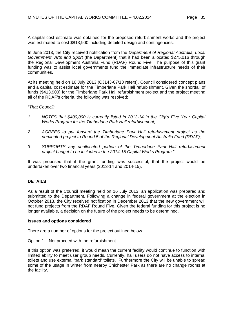A capital cost estimate was obtained for the proposed refurbishment works and the project was estimated to cost \$813,900 including detailed design and contingencies.

In June 2013, the City received notification from the *Department of Regional Australia, Local Government, Arts and Sport* (the Department) that it had been allocated \$275,016 through the Regional Development Australia Fund (RDAF) Round Five. The purpose of this grant funding was to assist local governments fund the immediate infrastructure needs of their communities.

At its meeting held on 16 July 2013 (CJ143-07/13 refers), Council considered concept plans and a capital cost estimate for the Timberlane Park Hall refurbishment. Given the shortfall of funds (\$413,900) for the Timberlane Park Hall refurbishment project and the project meeting all of the RDAF's criteria, the following was resolved:

*"That Council:* 

- *1 NOTES that \$400,000 is currently listed in 2013-14 in the City's Five Year Capital Works Program for the Timberlane Park Hall refurbishment;*
- *2 AGREES to put forward the Timberlane Park Hall refurbishment project as the nominated project to Round 5 of the Regional Development Australia Fund (RDAF);*
- *3 SUPPORTS any unallocated portion of the Timberlane Park Hall refurbishment project budget to be included in the 2014-15 Capital Works Program."*

It was proposed that if the grant funding was successful, that the project would be undertaken over two financial years (2013-14 and 2014-15).

# **DETAILS**

As a result of the Council meeting held on 16 July 2013, an application was prepared and submitted to the Department. Following a change in federal government at the election in October 2013, the City received notification in December 2013 that the new government will not fund projects from the RDAF Round Five. Given the federal funding for this project is no longer available, a decision on the future of the project needs to be determined.

# **Issues and options considered**

There are a number of options for the project outlined below.

#### Option 1 – Not proceed with the refurbishment

If this option was preferred, it would mean the current facility would continue to function with limited ability to meet user group needs. Currently, hall users do not have access to internal toilets and use external 'park standard' toilets. Furthermore the City will be unable to spread some of the usage in winter from nearby Chichester Park as there are no change rooms at the facility.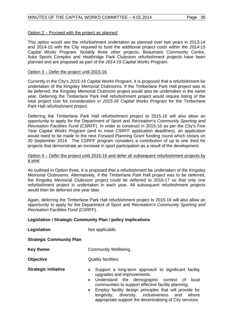#### Option 2 – Proceed with the project as planned

This option would see the refurbishment undertaken as planned over two years in 2013-14 and 2014-15 with the City required to fund the additional project costs within the *2014-15 Capital Works Program.* Notably three other projects, Beaumaris Community Centre, Iluka Sports Complex and Heathridge Park Clubroom refurbishment projects have been planned and are proposed as part of the *2014-15 Capital Works Program.* 

#### Option 3 – Defer the project until 2015-16

Currently in the City's *2015-16 Capital Works Program*, it is proposed that a refurbishment be undertaken of the Kingsley Memorial Clubrooms. If the Timberlane Park Hall project was to be deferred, the Kingsley Memorial Clubroom project would also be undertaken in the same year. Deferring the Timberlane Park Hall refurbishment project would require listing of the total project cost for consideration in *2015-16 Capital Works Program* for the Timberlane Park Hall refurbishment project.

Deferring the Timberlane Park Hall refurbishment project to 2015-16 will also allow an opportunity to apply for the Department of Sport and Recreation's *Community Sporting and Recreation Facilities Fund* (CSRFF). In order to construct in 2015-16 as per the City's *Five Year Capital Works Program* (and to meet CSRFF application deadlines), an application would need to be made to the next Forward Planning Grant funding round which closes on 30 September 2014. The CSRFF program considers a contribution of up to one third for projects that demonstrate an increase in sport participation as a result of the development.

#### Option 4 – Defer the project until 2015-16 and defer all subsequent refurbishment projects by a year

As outlined in Option three, it is proposed that a refurbishment be undertaken of the Kingsley Memorial Clubrooms. Alternatively, if the Timberlane Park Hall project was to be deferred, the Kingsley Memorial Clubroom project could be deferred to 2016-17 so that only one refurbishment project is undertaken in each year. All subsequent refurbishment projects would then be deferred one year later.

Again, deferring the Timberlane Park Hall refurbishment project to 2015-16 will also allow an opportunity to apply for the Department of Sport and Recreation's *Community Sporting and Recreation Facilities Fund* (CSRFF).

# **Legislation / Strategic Community Plan / policy implications**

| Legislation                     | Not applicable.                                                                                                                                                                                                                                                                                                                                                                                            |  |  |  |
|---------------------------------|------------------------------------------------------------------------------------------------------------------------------------------------------------------------------------------------------------------------------------------------------------------------------------------------------------------------------------------------------------------------------------------------------------|--|--|--|
| <b>Strategic Community Plan</b> |                                                                                                                                                                                                                                                                                                                                                                                                            |  |  |  |
| <b>Key theme</b>                | Community Wellbeing.                                                                                                                                                                                                                                                                                                                                                                                       |  |  |  |
| <b>Objective</b>                | Quality facilities.                                                                                                                                                                                                                                                                                                                                                                                        |  |  |  |
| <b>Strategic initiative</b>     | Support a long-term approach to significant facility<br>$\bullet$<br>upgrades and improvements.<br>Understand the demographic context of<br>local<br>$\bullet$<br>communities to support effective facility planning.<br>Employ facility design principles that will provide for<br>$\bullet$<br>longevity, diversity, inclusiveness and where<br>appropriate support the decentralising of City services. |  |  |  |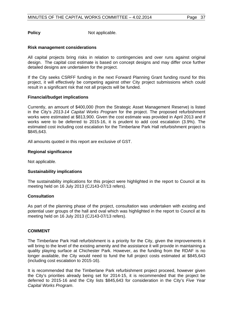**Policy** Not applicable.

# **Risk management considerations**

All capital projects bring risks in relation to contingencies and over runs against original design. The capital cost estimate is based on concept designs and may differ once further detailed designs are undertaken for the project.

If the City seeks CSRFF funding in the next Forward Planning Grant funding round for this project, it will effectively be competing against other City project submissions which could result in a significant risk that not all projects will be funded.

# **Financial/budget implications**

Currently, an amount of \$400,000 (from the Strategic Asset Management Reserve) is listed in the City's *2013-14 Capital Works Program* for the project. The proposed refurbishment works were estimated at \$813,900. Given the cost estimate was provided in April 2013 and if works were to be deferred to 2015-16, it is prudent to add cost escalation (3.9%). The estimated cost including cost escalation for the Timberlane Park Hall refurbishment project is \$845,643.

All amounts quoted in this report are exclusive of GST.

# **Regional significance**

Not applicable.

# **Sustainability implications**

The sustainability implications for this project were highlighted in the report to Council at its meeting held on 16 July 2013 (CJ143-07/13 refers).

# **Consultation**

As part of the planning phase of the project, consultation was undertaken with existing and potential user groups of the hall and oval which was highlighted in the report to Council at its meeting held on 16 July 2013 (CJ143-07/13 refers).

# **COMMENT**

The Timberlane Park Hall refurbishment is a priority for the City, given the improvements it will bring to the level of the existing amenity and the assistance it will provide in maintaining a quality playing surface at Chichester Park. However, as the funding from the RDAF is no longer available, the City would need to fund the full project costs estimated at \$845,643 (including cost escalation to 2015-16).

It is recommended that the Timberlane Park refurbishment project proceed, however given the City's priorities already being set for 2014-15, it is recommended that the project be deferred to 2015-16 and the City lists \$845,643 for consideration in the City's *Five Year Capital Works Program*.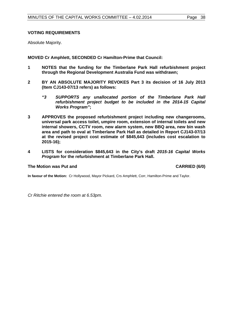# **VOTING REQUIREMENTS**

Absolute Majority.

**MOVED Cr Amphlett, SECONDED Cr Hamilton-Prime that Council:** 

- **1 NOTES that the funding for the Timberlane Park Hall refurbishment project through the Regional Development Australia Fund was withdrawn;**
- **2 BY AN ABSOLUTE MAJORITY REVOKES Part 3 its decision of 16 July 2013 (Item CJ143-07/13 refers) as follows:** 
	- *"3 SUPPORTS any unallocated portion of the Timberlane Park Hall refurbishment project budget to be included in the 2014-15 Capital Works Program"***;**
- **3 APPROVES the proposed refurbishment project including new changerooms, universal park access toilet, umpire room, extension of internal toilets and new internal showers, CCTV room, new alarm system, new BBQ area, new bin wash area and path to oval at Timberlane Park Hall as detailed in Report CJ143-07/13 at the revised project cost estimate of \$845,643 (includes cost escalation to 2015-16);**
- **4 LISTS for consideration \$845,643 in the City's draft** *2015-16 Capital Works Program* **for the refurbishment at Timberlane Park Hall.**

#### The Motion was Put and **CARRIED** (6/0)

**In favour of the Motion:** Cr Hollywood, Mayor Pickard, Crs Amphlett, Corr, Hamilton-Prime and Taylor.

*Cr Ritchie entered the room at 6.53pm.*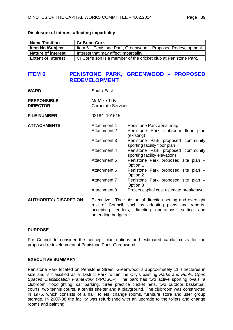| <b>Name/Position</b>      | <b>Cr Brian Corr.</b>                                            |
|---------------------------|------------------------------------------------------------------|
| <b>Item No./Subject</b>   | Item 6 - Penistone Park, Greenwood - Proposed Redevelopment.     |
| <b>Nature of interest</b> | Interest that may affect impartiality.                           |
| <b>Extent of Interest</b> | Cr Corr's son is a member of the cricket club at Penistone Park. |

# <span id="page-38-0"></span>**Disclosure of interest affecting impartiality**

# **ITEM 6 PENISTONE PARK, GREENWOOD - PROPOSED REDEVELOPMENT**

| <b>WARD</b>                           | South-East                                                                                                                   |                                                                                                                                                                                                                                                                                                                                                                                                                             |  |  |
|---------------------------------------|------------------------------------------------------------------------------------------------------------------------------|-----------------------------------------------------------------------------------------------------------------------------------------------------------------------------------------------------------------------------------------------------------------------------------------------------------------------------------------------------------------------------------------------------------------------------|--|--|
| <b>RESPONSIBLE</b><br><b>DIRECTOR</b> | Mr Mike Tidy<br><b>Corporate Services</b>                                                                                    |                                                                                                                                                                                                                                                                                                                                                                                                                             |  |  |
| <b>FILE NUMBER</b>                    | 02184, 101515                                                                                                                |                                                                                                                                                                                                                                                                                                                                                                                                                             |  |  |
| <b>ATTACHMENTS</b>                    | Attachment 1<br>Attachment 2<br>Attachment 3<br>Attachment 4<br>Attachment 5<br>Attachment 6<br>Attachment 7<br>Attachment 8 | Penistone Park aerial map<br>Penistone Park clubroom floor plan<br>(existing)<br>Penistone Park proposed community<br>sporting facility floor plan<br>Penistone Park proposed community<br>sporting facility elevations<br>Penistone Park proposed site plan -<br>Option 1<br>Penistone Park proposed site plan -<br>Option 2<br>Penistone Park proposed site plan -<br>Option 3<br>Project capital cost estimate breakdown |  |  |
| <b>AUTHORITY / DISCRETION</b>         | amending budgets.                                                                                                            | Executive - The substantial direction setting and oversight<br>role of Council, such as adopting plans and reports,<br>accepting tenders, directing operations, setting<br>and                                                                                                                                                                                                                                              |  |  |

#### **PURPOSE**

For Council to consider the concept plan options and estimated capital costs for the proposed redevelopment at Penistone Park, Greenwood.

#### **EXECUTIVE SUMMARY**

Penistone Park located on Penistone Street, Greenwood is approximately 11.4 hectares in size and is classified as a 'District Park' within the City's existing *Parks and Public Open Spaces Classification Framework* (PPOSCF). The park has two active sporting ovals, a clubroom, floodlighting, car parking, three practice cricket nets, two outdoor basketball courts, two tennis courts, a tennis shelter and a playground. The clubroom was constructed in 1975, which consists of a hall, toilets, change rooms, furniture store and user group storage. In 2007-08 the facility was refurbished with an upgrade to the toilets and change rooms and painting.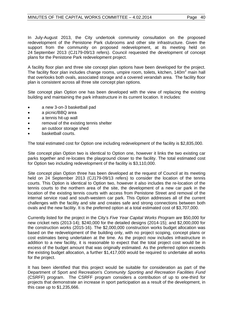In July-August 2013, the City undertook community consultation on the proposed redevelopment of the Penistone Park clubrooms and other site infrastructure. Given the support from the community on proposed redevelopment, at its meeting held on 24 September 2013 (CJ179-09/13 refers). Council requested the development of concept plans for the Penistone Park redevelopment project.

A facility floor plan and three site concept plan options have been developed for the project. The facility floor plan includes change rooms, umpire room, toilets, kitchen, 140m $^2$  main hall that overlooks both ovals, associated storage and a covered verandah area. The facility floor plan is consistent across all three site concept plan options.

Site concept plan Option one has been developed with the view of replacing the existing building and maintaining the park infrastructure in its current location. It includes:

- a new 3-on-3 basketball pad
- a picnic/BBQ area
- a tennis hit-up wall
- removal of the existing tennis shelter
- an outdoor storage shed
- basketball courts.

The total estimated cost for Option one including redevelopment of the facility is \$2,835,000.

Site concept plan Option two is identical to Option one, however it links the two existing car parks together and re-locates the playground closer to the facility. The total estimated cost for Option two including redevelopment of the facility is \$3,110,000.

Site concept plan Option three has been developed at the request of Council at its meeting held on 24 September 2013 (CJ179-09/13 refers) to consider the location of the tennis courts. This Option is identical to Option two, however it also includes the re-location of the tennis courts to the northern area of the site, the development of a new car park in the location of the existing tennis courts with access from Penistone Street and removal of the internal service road and south-western car park. This Option addresses all of the current challenges with the facility and site and creates safe and strong connections between both ovals and the new facility. It is the preferred option at a total estimated cost of \$3,707,000.

Currently listed for the project in the City's *Five Year Capital Works Program* are \$50,000 for new cricket nets (2013-14); \$240,000 for the detailed designs (2014-15); and \$2,000,000 for the construction works (2015-16). The \$2,000,000 construction works budget allocation was based on the redevelopment of the building only, with no project scoping, concept plans or cost estimates being undertaken at the time. As the project now includes infrastructure in addition to a new facility, it is reasonable to expect that the total project cost would be in excess of the budget amount that was originally estimated. As the preferred option exceeds the existing budget allocation, a further \$1,417,000 would be required to undertake all works for the project.

It has been identified that this project would be suitable for consideration as part of the Department of Sport and Recreation's *Community Sporting and Recreation Facilities Fund* (CSRFF) program. The CSRFF program considers a contribution of up to one-third for projects that demonstrate an increase in sport participation as a result of the development, in this case up to \$1,235,666.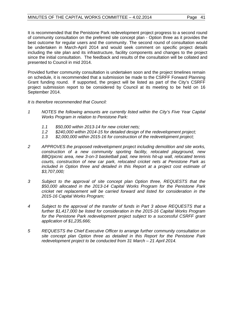It is recommended that the Penistone Park redevelopment project progress to a second round of community consultation on the preferred site concept plan - Option three as it provides the best outcome for regular users and the community. The second round of consultation would be undertaken in March-April 2014 and would seek comment on specific project details including the site plan and its infrastructure, facility components and changes to the project since the initial consultation. The feedback and results of the consultation will be collated and presented to Council in mid 2014.

Provided further community consultation is undertaken soon and the project timelines remain on schedule, it is recommended that a submission be made to the CSRFF Forward Planning Grant funding round. If supported, the project will be listed as part of the City's CSRFF project submission report to be considered by Council at its meeting to be held on 16 September 2014.

*It is therefore recommended that Council:* 

- *1 NOTES the following amounts are currently listed within the City's Five Year Capital Works Program in relation to Penistone Park:* 
	- *1.1 \$50,000 within 2013-14 for new cricket nets;*
	- *1.2 \$240,000 within 2014-15 for detailed design of the redevelopment project;*
	- *1.3 \$2,000,000 within 2015-16 for construction of the redevelopment project;*
- *2 APPROVES the proposed redevelopment project including demolition and site works, construction of a new community sporting facility, relocated playground, new BBQ/picnic area, new 3-on-3 basketball pad, new tennis hit-up wall, relocated tennis courts, construction of new car park, relocated cricket nets at Penistone Park as included in Option three and detailed in this Report at a project cost estimate of \$3,707,000;*
- *3 Subject to the approval of site concept plan Option three, REQUESTS that the \$50,000 allocated in the 2013-14 Capital Works Program for the Penistone Park cricket net replacement will be carried forward and listed for consideration in the 2015-16 Capital Works Program;*
- *4 Subject to the approval of the transfer of funds in Part 3 above REQUESTS that a further \$1,417,000 be listed for consideration in the 2015-16 Capital Works Program*  for the Penistone Park redevelopment project subject to a successful CSRFF grant *application of \$1,235,666;*
- *5 REQUESTS the Chief Executive Officer to arrange further community consultation on site concept plan Option three as detailed in this Report for the Penistone Park redevelopment project to be conducted from 31 March – 21 April 2014.*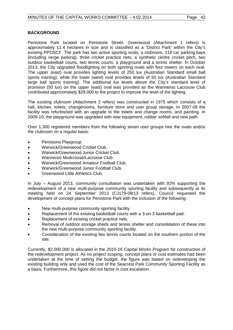# **BACKGROUND**

Penistone Park located on Penistone Street, Greenwood (Attachment 1 refers) is approximately 11.4 hectares in size and is classified as a 'District Park' within the City's existing PPOSCF*.* The park has two active sporting ovals, a clubroom, 118 car parking bays (including verge parking), three cricket practice nets, a synthetic centre cricket pitch, two outdoor basketball courts, two tennis courts, a playground and a tennis shelter. In October 2013, the City upgraded floodlighting on both sporting ovals with four towers on each oval. The upper (east) oval provides lighting levels of 250 lux (Australian Standard small ball sports training), while the lower (west) oval provides levels of 50 lux (Australian Standard large ball sports training). The additional lux levels above the City's standard level of provision (50 lux) on the upper (east) oval was provided as the Wanneroo Lacrosse Club contributed approximately \$29,000 to the project to improve the level of the lighting.

The existing clubroom (Attachment 2 refers) was constructed in 1975 which consists of a hall, kitchen, toilets, changerooms, furniture store and user group storage. In 2007-08 the facility was refurbished with an upgrade to the toilets and change rooms, and painting. In 2009-10, the playground was upgraded with new equipment, rubber softfall and new path.

Over 1,300 registered members from the following seven user groups hire the ovals and/or the clubroom on a regular basis:

- Penistone Playgroup.
- Warwick/Greenwood Cricket Club.
- Warwick/Greenwood Junior Cricket Club.
- Wanneroo Modcrosse/Lacrosse Club.
- Warwick/Greenwood Amateur Football Club.
- Warwick/Greenwood Junior Football Club.
- Greenwood Little Athletics Club.

In July – August 2013, community consultation was undertaken with 92% supporting the redevelopment of a new multi-purpose community sporting facility and subsequently at its meeting held on 24 September 2013 (CJ179-09/13 refers), Council requested the development of concept plans for Penistone Park with the inclusion of the following:

- New multi-purpose community sporting facility.
- Replacement of the existing basketball courts with a 3-on-3 basketball pad.
- Replacement of existing cricket practice nets.
- Removal of outdoor storage sheds and tennis shelter and consolidation of these into the new multi-purpose community sporting facility.
- Consideration of the existing two tennis courts located on the southern portion of the site.

Currently, \$2,000,000 is allocated in the *2015-16 Capital Works Program* for construction of the redevelopment project. As no project scoping, concept plans or cost estimates had been undertaken at the time of setting the budget, the figure was based on redeveloping the existing building only and used the cost of the Seacrest Park Community Sporting Facility as a basis. Furthermore, this figure did not factor in cost escalation.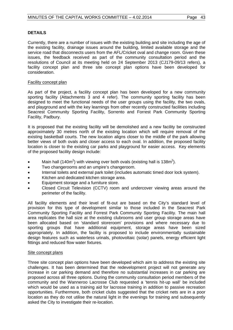#### **DETAILS**

Currently, there are a number of issues with the existing building and site including the age of the existing facility, drainage issues around the building, limited available storage and the service road that disconnects users from the AFL/Cricket oval and change room. Given these issues, the feedback received as part of the community consultation period and the resolutions of Council at its meeting held on 24 September 2013 (CJ179-09/13 refers), a facility concept plan and three site concept plan options have been developed for consideration.

#### Facility concept plan

As part of the project, a facility concept plan has been developed for a new community sporting facility (Attachments 3 and 4 refer). The community sporting facility has been designed to meet the functional needs of the user groups using the facility, the two ovals, and playground and with the key learnings from other recently constructed facilities including Seacrest Community Sporting Facility, Sorrento and Forrest Park Community Sporting Facility, Padbury.

It is proposed that the existing facility will be demolished and a new facility be constructed approximately 30 metres north of the existing location which will require removal of the existing basketball courts. The new location aligns closer to the middle of the park allowing better views of both ovals and closer access to each oval. In addition, the proposed facility location is closer to the existing car parks and playground for easier access. Key elements of the proposed facility design include:

- Main hall (140m<sup>2</sup>) with viewing over both ovals (existing hall is 138m<sup>2</sup>).
- Two changerooms and an umpire's changeroom.
- Internal toilets and external park toilet (includes automatic timed door lock system).
- Kitchen and dedicated kitchen storage area.
- Equipment storage and a furniture store.
- Closed Circuit Television (CCTV) room and undercover viewing areas around the perimeter of the facility.

All facility elements and their level of fit-out are based on the City's standard level of provision for this type of development similar to those included in the Seacrest Park Community Sporting Facility and Forrest Park Community Sporting Facility. The main hall area replicates the hall size at the existing clubrooms and user group storage areas have been allocated based on 'standard storeroom' provisions and where necessary due to sporting groups that have additional equipment, storage areas have been sized appropriately. In addition, the facility is proposed to include environmentally sustainable design features such as waterless urinals, photovoltaic (solar) panels, energy efficient light fittings and reduced flow water fixtures.

#### Site concept plans

Three site concept plan options have been developed which aim to address the existing site challenges. It has been determined that the redevelopment project will not generate any increase in car parking demand and therefore no substantial increases in car parking are proposed across all three options. During the community consultation period members of the community and the Wanneroo Lacrosse Club requested a 'tennis hit-up wall' be included which would be used as a training aid for lacrosse training in addition to passive recreation opportunities. Furthermore, both cricket clubs suggested that the cricket nets are in a poor location as they do not utilise the natural light in the evenings for training and subsequently asked the City to investigate their re-location.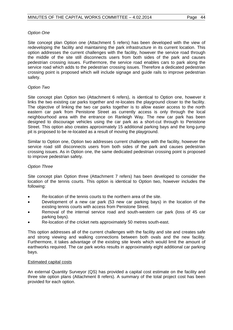# *Option One*

Site concept plan Option one (Attachment 5 refers) has been developed with the view of redeveloping the facility and maintaining the park infrastructure in its current location. This option addresses the current challenges with the facility, however the service road through the middle of the site still disconnects users from both sides of the park and causes pedestrian crossing issues. Furthermore, the service road enables cars to park along the service road which adds to the pedestrian crossing issues. Therefore a dedicated pedestrian crossing point is proposed which will include signage and guide rails to improve pedestrian safety.

# *Option Two*

Site concept plan Option two (Attachment 6 refers), is identical to Option one, however it links the two existing car parks together and re-locates the playground closer to the facility. The objective of linking the two car parks together is to allow easier access to the north eastern car park from Penistone Street as currently access is only through the local neighbourhood area with the entrance on Ranleigh Way. The new car park has been designed to discourage vehicles using the car park as a short-cut through to Penistone Street. This option also creates approximately 15 additional parking bays and the long-jump pit is proposed to be re-located as a result of moving the playground.

Similar to Option one, Option two addresses current challenges with the facility, however the service road still disconnects users from both sides of the park and causes pedestrian crossing issues. As in Option one, the same dedicated pedestrian crossing point is proposed to improve pedestrian safety.

# *Option Three*

Site concept plan Option three (Attachment 7 refers) has been developed to consider the location of the tennis courts. This option is identical to Option two, however includes the following:

- Re-location of the tennis courts to the northern area of the site.
- Development of a new car park (53 new car parking bays) in the location of the existing tennis courts with access from Penistone Street.
- Removal of the internal service road and south-western car park (loss of 45 car parking bays).
- Re-location of the cricket nets approximately 50 metres south-east.

This option addresses all of the current challenges with the facility and site and creates safe and strong viewing and walking connections between both ovals and the new facility. Furthermore, it takes advantage of the existing site levels which would limit the amount of earthworks required. The car park works results in approximately eight additional car parking bays.

# Estimated capital costs

An external Quantity Surveyor (QS) has provided a capital cost estimate on the facility and three site option plans (Attachment 8 refers). A summary of the total project cost has been provided for each option.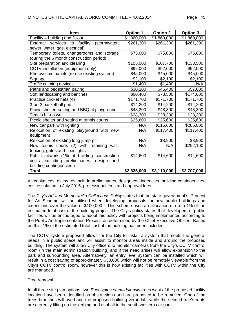| <b>Item</b>                                         | <b>Option 1</b> | <b>Option 2</b>      | <b>Option 3</b> |
|-----------------------------------------------------|-----------------|----------------------|-----------------|
| Facility – building and fit-out                     | \$1,860,000     | \$1,860,000          | \$1,860,000     |
| facility<br>External services<br>to<br>(stormwater, | \$261,300       | \$261,300            | \$261,300       |
| sewer, water, gas, electrical)                      |                 |                      |                 |
| Temporary toilets, changerooms and storage          | \$75,000        | \$75,000             | \$75,000        |
| (during the 6 month construction period)            |                 |                      |                 |
| Site preparation and clearing                       | \$105,000       | \$107,700            | \$133,500       |
| CCTV installation (equipment only)                  | \$92,000        | \$92,000             | \$92,000        |
| Photovoltaic panels (re-use existing system)        | \$45,000        | \$45,000             | \$45,000        |
| Signage                                             | \$2,100         | \$2,100              | \$2,100         |
| Traffic calming devices                             | \$1,400         | \$1,400              | N/A             |
| Paths and pedestrian paving                         | \$30,100        | \$46,400             | \$57,000        |
| Soft landscaping and benches                        | \$60,400        | \$73,500             | \$174,000       |
| Practice cricket nets (4)                           | \$171,700       | \$171,700            | \$171,700       |
| 3-on-3 basketball pad                               | \$14,200        | \$14,200             | \$14,200        |
| Picnic shelter, setting and BBQ at playground       | \$48,300        | $\overline{$}48,300$ | \$48,300        |
| Tennis hit-up wall                                  | \$28,300        | \$28,300             | \$28,300        |
| Picnic shelter and setting at tennis courts         | \$25,600        | \$25,600             | \$25,600        |
| New car park with lighting                          | N/A             | \$116,600            | \$286,000       |
| Relocation of existing playground with new          | N/A             | \$117,400            | \$117,400       |
| equipment                                           |                 |                      |                 |
| Relocation of existing long jump-pit                | N/A             | \$8,900              | \$8,900         |
| New tennis courts (2) with retaining wall,          | N/A             | N/A                  | \$292,100       |
| fencing, gates and floodlights                      |                 |                      |                 |
| Public artwork (1% of building construction         | \$14,600        | \$14,600             | \$14,600        |
| costs excluding preliminaries, design<br>and        |                 |                      |                 |
| building contingencies.)                            |                 |                      |                 |
| <b>Total</b>                                        | \$2,835,000     | \$3,110,000          | \$3,707,000     |

All capital cost estimates include preliminaries, design contingencies, building contingencies, cost escalation to July 2015, professional fees and approval fees.

The City's *Art and Memorabilia Collections Policy* states that the state government's 'Percent for Art Scheme' will be utilised when developing proposals for new public buildings and extensions over the value of \$100,000. This scheme uses an allocation of up to 1% of the estimated total cost of the building project. The City's policy states that developers of public facilities will be encouraged to adopt this policy with projects being implemented according to the Public Art Implementation Process as determined by the Chief Executive Officer. Based on this, 1% of the estimated total cost of the building has been included.

The CCTV system proposed allows for the City to install a system that meets the general needs in a public space and will assist to monitor areas inside and around the proposed building. The system will allow City officers to monitor cameras from the City's CCTV control room (in the main administration building) and if the need arises will allow expansion to the park and surrounding area. Alternatively, an entry level system can be installed which will result in a cost saving of approximately \$30,000 which will not be remotely viewable from the City's CCTV control room, however this is how existing facilities with CCTV within the City are managed.

# Tree removal

In all three site plan options, two *Eucalyptus camaldulensis* trees west of the proposed facility location have been identified as obstructions and are proposed to be removed. One of the trees branches will overhang the proposed building verandah, while the second tree's roots are currently lifting up the kerbing and asphalt in the south-western car park.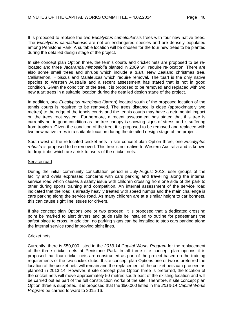It is proposed to replace the two *Eucalyptus camaldulensis* trees with four new native trees. The *Eucalyptus camaldulensis* are not an endangered species and are densely populated among Penistone Park. A suitable location will be chosen for the four new trees to be planted during the detailed design stage of the project.

In site concept plan Option three, the tennis courts and cricket nets are proposed to be relocated and three *Jacaranda mimosifolia* planted in 2009 will require re-location. There are also some small trees and shrubs which include a tuart, New Zealand christmas tree, Callistemon, Hibiscus and Malaleucas which require removal. The tuart is the only native species to Western Australia and a recent assessment has stated that is not in good condition. Given the condition of the tree, it is proposed to be removed and replaced with two new tuart trees in a suitable location during the detailed design stage of the project.

In addition, one *Eucalyptus marginata* (Jarrah) located south of the proposed location of the tennis courts is required to be removed. The trees distance is close (approximately two metres) to the edge of the tennis courts and the tennis courts may have a detrimental impact on the trees root system. Furthermore, a recent assessment has stated that this tree is currently not in good condition as the tree canopy is showing signs of stress and is suffering from tropism. Given the condition of the tree, it is proposed to be removed and replaced with two new native trees in a suitable location during the detailed design stage of the project.

South-west of the re-located cricket nets in site concept plan Option three, one *Eucalyptus robusta* is proposed to be removed. This tree is not native to Western Australia and is known to drop limbs which are a risk to users of the cricket nets.

#### Service road

During the initial community consultation period in July-August 2013, user groups of the facility and ovals expressed concerns with cars parking and travelling along the internal service road which causes a safety issue with children crossing from one side of the park to other during sports training and competition. An internal assessment of the service road indicated that the road is already heavily treated with speed humps and the main challenge is cars parking along the service road. As many children are at a similar height to car bonnets, this can cause sight line issues for drivers.

If site concept plan Options one or two proceed, it is proposed that a dedicated crossing point be marked to alert drivers and guide rails be installed to outline for pedestrians the safest place to cross. In addition, no parking signs can be installed to stop cars parking along the internal service road improving sight lines.

#### Cricket nets

Currently, there is \$50,000 listed in the *2013-14 Capital Works Program* for the replacement of the three cricket nets at Penistone Park. In all three site concept plan options it is proposed that four cricket nets are constructed as part of the project based on the training requirements of the two cricket clubs. If site concept plan Options one or two is preferred the location of the cricket nets will remain and the replacement of the cricket nets can proceed as planned in 2013-14. However, if site concept plan Option three is preferred, the location of the cricket nets will move approximately 50 metres south-east of the existing location and will be carried out as part of the full construction works of the site. Therefore, if site concept plan Option three is supported, it is proposed that the \$50,000 listed in the *2013-14 Capital Works Program* be carried forward to 2015-16.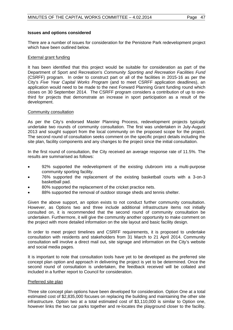# **Issues and options considered**

There are a number of issues for consideration for the Penistone Park redevelopment project which have been outlined below.

#### External grant funding

It has been identified that this project would be suitable for consideration as part of the Department of Sport and Recreation's *Community Sporting and Recreation Facilities Fund* (CSRFF) program. In order to construct part or all of the facilities in 2015-16 as per the City's *Five Year Capital Works Program* (and to meet CSRFF application deadlines), an application would need to be made to the next Forward Planning Grant funding round which closes on 30 September 2014. The CSRFF program considers a contribution of up to onethird for projects that demonstrate an increase in sport participation as a result of the development.

#### Community consultation

As per the City's endorsed Master Planning Process, redevelopment projects typically undertake two rounds of community consultation. The first was undertaken in July-August 2013 and sought support from the local community on the proposed scope for the project. The second round of consultation seeks comment on the specific project details including the site plan, facility components and any changes to the project since the initial consultation.

In the first round of consultation, the City received an average response rate of 11.5%. The results are summarised as follows:

- 92% supported the redevelopment of the existing clubroom into a multi-purpose community sporting facility.
- 76% supported the replacement of the existing basketball courts with a 3-on-3 basketball pad.
- 80% supported the replacement of the cricket practice nets.
- 88% supported the removal of outdoor storage sheds and tennis shelter.

Given the above support, an option exists to not conduct further community consultation. However, as Options two and three include additional infrastructure items not initially consulted on, it is recommended that the second round of community consultation be undertaken. Furthermore, it will give the community another opportunity to make comment on the project with more detailed information on the site layout and basic facility design.

In order to meet project timelines and CSRFF requirements, it is proposed to undertake consultation with residents and stakeholders from 31 March to 21 April 2014. Community consultation will involve a direct mail out, site signage and information on the City's website and social media pages.

It is important to note that consultation tools have yet to be developed as the preferred site concept plan option and approach in delivering the project is yet to be determined. Once the second round of consultation is undertaken, the feedback received will be collated and included in a further report to Council for consideration.

#### Preferred site plan

Three site concept plan options have been developed for consideration. Option One at a total estimated cost of \$2,835,000 focuses on replacing the building and maintaining the other site infrastructure. Option two at a total estimated cost of \$3,110,000 is similar to Option one, however links the two car parks together and re-locates the playground closer to the facility.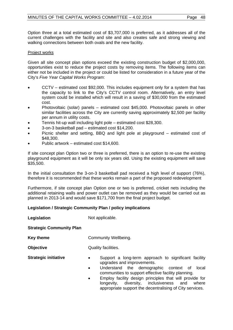Option three at a total estimated cost of \$3,707,000 is preferred, as it addresses all of the current challenges with the facility and site and also creates safe and strong viewing and walking connections between both ovals and the new facility.

# Project works

Given all site concept plan options exceed the existing construction budget of \$2,000,000, opportunities exist to reduce the project costs by removing items. The following items can either not be included in the project or could be listed for consideration in a future year of the City's *Five Year Capital Works Program*:

- CCTV estimated cost \$92,000. This includes equipment only for a system that has the capacity to link to the City's CCTV control room. Alternatively, an entry level system could be installed which will result in a saving of \$30,000 from the estimated cost.
- Photovoltaic (solar) panels estimated cost \$45,000. Photovoltaic panels in other similar facilities across the City are currently saving approximately \$2,500 per facility per annum in utility costs.
- Tennis hit-up wall including light pole estimated cost \$28,300.
- 3-on-3 basketball pad estimated cost \$14,200.
- Picnic shelter and setting, BBQ and light pole at playground estimated cost of \$48,300.
- Public artwork estimated cost \$14,600.

If site concept plan Option two or three is preferred, there is an option to re-use the existing playground equipment as it will be only six years old. Using the existing equipment will save \$35,500.

In the initial consultation the 3-on-3 basketball pad received a high level of support (76%), therefore it is recommended that these works remain a part of the proposed redevelopment

Furthermore, if site concept plan Option one or two is preferred, cricket nets including the additional retaining walls and power outlet can be removed as they would be carried out as planned in 2013-14 and would save \$171,700 from the final project budget.

# **Legislation / Strategic Community Plan / policy implications**

| Legislation                     | Not applicable.                                                                                                                                                                                                                                                                                                                                                                                               |  |  |  |
|---------------------------------|---------------------------------------------------------------------------------------------------------------------------------------------------------------------------------------------------------------------------------------------------------------------------------------------------------------------------------------------------------------------------------------------------------------|--|--|--|
| <b>Strategic Community Plan</b> |                                                                                                                                                                                                                                                                                                                                                                                                               |  |  |  |
| <b>Key theme</b>                | Community Wellbeing.                                                                                                                                                                                                                                                                                                                                                                                          |  |  |  |
| Objective                       | Quality facilities.                                                                                                                                                                                                                                                                                                                                                                                           |  |  |  |
| <b>Strategic initiative</b>     | Support a long-term approach to significant facility<br>$\bullet$<br>upgrades and improvements.<br>Understand the demographic context of<br>local<br>$\bullet$<br>communities to support effective facility planning.<br>Employ facility design principles that will provide for<br>$\bullet$<br>longevity, diversity, inclusiveness and<br>where<br>appropriate support the decentralising of City services. |  |  |  |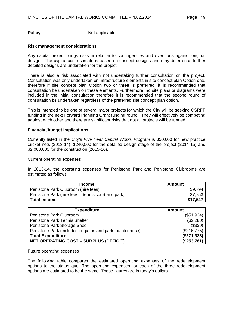**Policy** Not applicable.

#### **Risk management considerations**

Any capital project brings risks in relation to contingencies and over runs against original design. The capital cost estimate is based on concept designs and may differ once further detailed designs are undertaken for the project.

There is also a risk associated with not undertaking further consultation on the project. Consultation was only undertaken on infrastructure elements in site concept plan Option one, therefore if site concept plan Option two or three is preferred, it is recommended that consultation be undertaken on these elements. Furthermore, no site plans or diagrams were included in the initial consultation therefore it is recommended that the second round of consultation be undertaken regardless of the preferred site concept plan option.

This is intended to be one of several major projects for which the City will be seeking CSRFF funding in the next Forward Planning Grant funding round. They will effectively be competing against each other and there are significant risks that not all projects will be funded.

#### **Financial/budget implications**

Currently listed in the City's *Five Year Capital Works Program* is \$50,000 for new practice cricket nets (2013-14), \$240,000 for the detailed design stage of the project (2014-15) and \$2,000,000 for the construction (2015-16).

#### Current operating expenses

In 2013-14, the operating expenses for Penistone Park and Penistone Clubrooms are estimated as follows:

| <b>Income</b>                                      | Amount   |
|----------------------------------------------------|----------|
| Penistone Park Clubroom (hire fees)                | \$9,794  |
| Penistone Park (hire fees – tennis court and park) | .753     |
| <b>Total Income</b>                                | \$17,547 |

| <b>Expenditure</b>                                        | Amount      |
|-----------------------------------------------------------|-------------|
| Penistone Park Clubroom                                   | (\$51,934)  |
| <b>Penistone Park Tennis Shelter</b>                      | (\$2,280)   |
| Penistone Park Storage Shed                               | (\$339)     |
| Penistone Park (includes irrigation and park maintenance) | (\$216,775) |
| <b>Total Expenditure</b>                                  | (\$271,328) |
| <b>NET OPERATING COST - SURPLUS (DEFICIT)</b>             | (\$253,781) |

#### Future operating expenses

The following table compares the estimated operating expenses of the redevelopment options to the status quo. The operating expenses for each of the three redevelopment options are estimated to be the same. These figures are in today's dollars.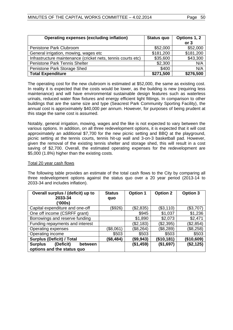| Operating expenses (excluding inflation)                     | Status quo | Options 1, 2<br>or <sub>3</sub> |
|--------------------------------------------------------------|------------|---------------------------------|
| Penistone Park Clubroom                                      | \$52,000   | \$52,000                        |
| General irrigation, mowing, wages etc                        | \$181,200  | \$181,200                       |
| Infrastructure maintenance (cricket nets, tennis courts etc) | \$35,600   | \$43,300                        |
| Penistone Park Tennis Shelter                                | \$2,300    | N/A                             |
| Penistone Park Storage Shed                                  | \$400      | N/A                             |
| <b>Total Expenditure</b>                                     | \$271,500  | \$276,500                       |

The operating cost for the new clubroom is estimated at \$52,000, the same as existing cost. In reality it is expected that the costs would be lower, as the building is new (requiring less maintenance) and will have environmental sustainable design features such as waterless urinals, reduced water flow fixtures and energy efficient light fittings. In comparison to other buildings that are the same size and type (Seacrest Park Community Sporting Facility), the annual cost is approximately \$40,000 per annum. However, for purposes of being prudent at this stage the same cost is assumed.

Notably, general irrigation, mowing, wages and the like is not expected to vary between the various options. In addition, on all three redevelopment options, it is expected that it will cost approximately an additional \$7,700 for the new picnic setting and BBQ at the playground, picnic setting at the tennis courts, tennis hit-up wall and 3-on-3 basketball pad. However, given the removal of the existing tennis shelter and storage shed, this will result in a cost saving of \$2,700. Overall, the estimated operating expenses for the redevelopment are \$5,000 (1.8%) higher than the existing costs.

#### Total 20 year cash flows

The following table provides an estimate of the total cash flows to the City by comparing all three redevelopment options against the status quo over a 20 year period (2013-14 to 2033-34 and includes inflation).

| Overall surplus / (deficit) up to      | <b>Status</b> | <b>Option 1</b> | <b>Option 2</b> | <b>Option 3</b> |
|----------------------------------------|---------------|-----------------|-----------------|-----------------|
| 2033-34                                | quo           |                 |                 |                 |
| (000s)                                 |               |                 |                 |                 |
| Capital expenditure and one-off        | (\$926)       | (\$2,835)       | (\$3,110)       | (\$3,707)       |
| One off income (CSRFF grant)           |               | \$945           | \$1,037         | \$1,236         |
| Borrowings and reserve funding         |               | \$1,890         | \$2,073         | \$2,471         |
| Funding repayments and interest        |               | (\$2,183)       | (\$2,395)       | (\$2,854)       |
| Operating expenses                     | (\$8,061)     | (\$8,264)       | (\$8,289)       | (\$8,258)       |
| Operating income                       | \$503         | \$503           | \$503           | \$503           |
| <b>Surplus (Deficit) / Total</b>       | (\$8,484)     | (\$9,943)       | (\$10,181)      | (\$10,609)      |
| <b>Surplus</b><br>(Deficit)<br>between |               | (\$1,459)       | (\$1,697)       | (\$2,125)       |
| options and the status quo             |               |                 |                 |                 |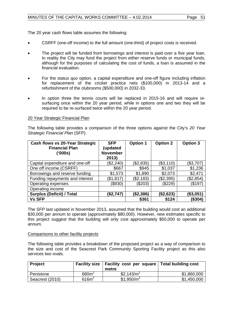The 20 year cash flows table assumes the following:

- CSRFF (one-off income) to the full amount (one-third) of project costs is received.
- The project will be funded from borrowings and interest is paid over a five year loan. In reality the City may fund the project from either reserve funds or municipal funds, although for the purposes of calculating the cost of funds, a loan is assumed in the financial evaluation.
- For the status quo option, a capital expenditure and one-off figure including inflation for replacement of the cricket practice nets (\$100,000) in 2013-14 and a refurbishment of the clubrooms (\$500,000) in 2032-33.
- In option three the tennis courts will be replaced in 2015-16 and will require resurfacing once within the 20 year period, while in options one and two they will be required to be re-surfaced twice within the 20 year period.

#### 20 Year Strategic Financial Plan

The following table provides a comparison of the three options against the City's *20 Year Strategic Financial Plan* (SFP).

| <b>Cash flows vs 20-Year Strategic</b> | <b>SFP</b>      | <b>Option 1</b> | <b>Option 2</b> | <b>Option 3</b> |
|----------------------------------------|-----------------|-----------------|-----------------|-----------------|
| <b>Financial Plan</b>                  | (updated        |                 |                 |                 |
| ('000s)                                | <b>November</b> |                 |                 |                 |
|                                        | 2013)           |                 |                 |                 |
| Capital expenditure and one-off        | \$2,240         | (\$2,835)       | (\$3,110)       | (\$3,707)       |
| One off income (CSRFF)                 | \$667           | \$945           | \$1,037         | \$1,236         |
| Borrowings and reserve funding         | \$1,573         | \$1,890         | \$2,073         | \$2,471         |
| Funding repayments and interest        | \$1,817         | (\$2,183)       | (\$2,395)       | (\$2,854)       |
| Operating expenses                     | (\$930)         | (\$203)         | (\$229)         | (\$197)         |
| Operating income                       |                 |                 |                 |                 |
| <b>Surplus (Deficit) / Total</b>       | (\$2,747)       | (\$2,386)       | (\$2,623)       | (\$3,051)       |
| <b>Vs SFP</b>                          |                 | \$361           | \$124           | (\$304)         |

The SFP last updated in November 2013, assumed that the building would cost an additional \$30,000 per annum to operate (approximately \$80,000). However, new estimates specific to this project suggest that the building will only cost approximately \$50,000 to operate per annum.

#### Comparisons to other facility projects

The following table provides a breakdown of the proposed project as a way of comparison to the size and cost of the Seacrest Park Community Sporting Facility project as this also services two ovals.

| <b>Project</b>  | <b>Facility size</b> | Facility cost per square   Total building cost<br>metre |             |
|-----------------|----------------------|---------------------------------------------------------|-------------|
| Penistone       | 680m <sup>2</sup>    | \$2,143/m <sup>2</sup>                                  | \$1,860,000 |
| Seacrest (2010) | 616m <sup>2</sup>    | \$1,950/ $m2$                                           | \$1,450,000 |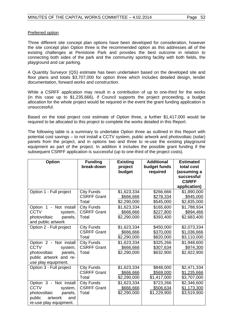#### Preferred option

Three different site concept plan options have been developed for consideration, however the site concept plan Option three is the recommended option as this addresses all of the existing challenges at Penistone Park and provides the best outcome in relation to connecting both sides of the park and the community sporting facility with both fields, the playground and car parking.

A Quantity Surveyor (QS) estimate has been undertaken based on the developed site and floor plans and totals \$3,707,000 for option three which includes detailed design, tender documentation, forward works and construction.

While a CSRFF application may result in a contribution of up to one-third for the works (in this case up to \$1,235,666), if Council supports the project proceeding, a budget allocation for the whole project would be required in the event the grant funding application is unsuccessful.

Based on the total project cost estimate of Option three, a further \$1,417,000 would be required to be allocated to this project to complete the works detailed in this Report.

The following table is a summary to undertake Option three as outlined in this Report with potential cost savings – to not install a CCTV system, public artwork and photovoltaic (solar) panels from the project, and in options two and three to re-use the existing playground equipment as part of the project. In addition it includes the possible grant funding if the subsequent CSRFF application is successful (up to one-third of the project costs).

| <b>Option</b>            | <b>Funding</b>     | <b>Existing</b> | <b>Additional</b> | <b>Estimated</b> |
|--------------------------|--------------------|-----------------|-------------------|------------------|
|                          | break-down         | project         | budget funds      | total cost       |
|                          |                    | budget          | required          | (assuming a      |
|                          |                    |                 |                   | successful       |
|                          |                    |                 |                   | <b>CSRFF</b>     |
|                          |                    |                 |                   | application)     |
| Option 1 - Full project  | City Funds         | \$1,623,334     | \$266,666         | \$1,890,000      |
|                          | <b>CSRFF Grant</b> | \$666,666       | \$278,334         | \$945,000        |
|                          | Total              | \$2,290,000     | \$545,000         | \$2,835,000      |
| Option 1 - Not install   | City Funds         | \$1,623,334     | \$165,600         | \$1,788,934      |
| <b>CCTV</b><br>system,   | <b>CSRFF Grant</b> | \$666,666       | \$227,800         | \$894,466        |
| photovoltaic<br>panels,  | Total              | \$2,290,000     | \$393,400         | \$2,683,400      |
| and public artwork       |                    |                 |                   |                  |
| Option 2 - Full project  | <b>City Funds</b>  | \$1,623,334     | \$450,000         | \$2,073,334      |
|                          | <b>CSRFF Grant</b> | \$666,666       | \$370,000         | \$1,036,666      |
|                          | Total              | \$2,290,000     | \$820,000         | \$3,110,000      |
| Option 2 - Not install   | City Funds         | \$1,623,334     | \$325,266         | \$1,948,600      |
| <b>CCTV</b><br>system,   | <b>CSRFF Grant</b> | \$666,666       | \$307,634         | \$974,300        |
| photovoltaic<br>panels,  | Total              | \$2,290,000     | \$632,900         | \$2,922,900      |
| public artwork and re-   |                    |                 |                   |                  |
| use play equipment.      |                    |                 |                   |                  |
| Option 3 - Full project  | City Funds         | \$1,623,334     | \$848,000         | \$2,471,334      |
|                          | <b>CSRFF Grant</b> | \$666,666       | \$569,000         | \$1,235,666      |
|                          | Total              | \$2,290,000     | \$1,417,000       | \$3,707,000      |
| Option 3 - Not install   | City Funds         | \$1,623,334     | \$723,266         | \$2,346,600      |
| <b>CCTV</b><br>system,   | <b>CSRFF Grant</b> | \$666,666       | \$506,634         | \$1,173,300      |
| photovoltaic<br>panels,  | Total              | \$2,290,000     | \$1,229,900       | \$3,519,900      |
| public<br>artwork<br>and |                    |                 |                   |                  |
| re-use play equipment.   |                    |                 |                   |                  |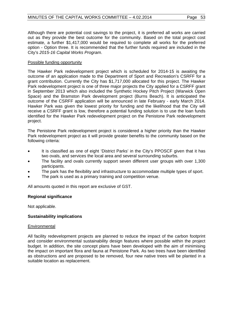Although there are potential cost savings to the project, it is preferred all works are carried out as they provide the best outcome for the community. Based on the total project cost estimate, a further \$1,417,000 would be required to complete all works for the preferred option - Option three. It is recommended that the further funds required are included in the City's *2015-16 Capital Works Program*.

# Possible funding opportunity

The Hawker Park redevelopment project which is scheduled for 2014-15 is awaiting the outcome of an application made to the Department of Sport and Recreation's CSRFF for a grant contribution. Currently the City has \$1,717,000 allocated for this project. The Hawker Park redevelopment project is one of three major projects the City applied for a CSRFF grant in September 2013 which also included the Synthetic Hockey Pitch Project (Warwick Open Space) and the Bramston Park development project (Burns Beach). It is anticipated the outcome of the CSRFF application will be announced in late February - early March 2014. Hawker Park was given the lowest priority for funding and the likelihood that the City will receive a CSRFF grant is low, therefore a potential funding solution is to use the loan funds identified for the Hawker Park redevelopment project on the Penistone Park redevelopment project.

The Penistone Park redevelopment project is considered a higher priority than the Hawker Park redevelopment project as it will provide greater benefits to the community based on the following criteria:

- It is classified as one of eight 'District Parks' in the City's PPOSCF given that it has two ovals, and services the local area and several surrounding suburbs.
- The facility and ovals currently support seven different user groups with over 1,300 participants.
- The park has the flexibility and infrastructure to accommodate multiple types of sport.
- The park is used as a primary training and competition venue.

All amounts quoted in this report are exclusive of GST.

# **Regional significance**

Not applicable.

# **Sustainability implications**

# **Environmental**

All facility redevelopment projects are planned to reduce the impact of the carbon footprint and consider environmental sustainability design features where possible within the project budget. In addition, the site concept plans have been developed with the aim of minimising the impact on important flora and fauna at Penistone Park. As two trees have been identified as obstructions and are proposed to be removed, four new native trees will be planted in a suitable location as replacement.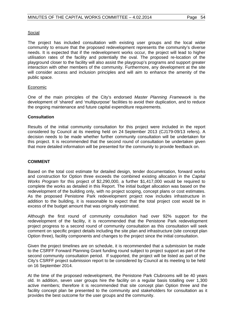#### Social

The project has included consultation with existing user groups and the local wider community to ensure that the proposed redevelopment represents the community's diverse needs. It is expected that if the redevelopment works occur, the project will lead to higher utilisation rates of the facility and potentially the oval. The proposed re-location of the playground closer to the facility will also assist the playgroup's programs and support greater interaction with other members of the community. Furthermore, any development at the site will consider access and inclusion principles and will aim to enhance the amenity of the public space.

#### **Economic**

One of the main principles of the City's endorsed *Master Planning Framework* is the development of 'shared' and 'multipurpose' facilities to avoid their duplication, and to reduce the ongoing maintenance and future capital expenditure requirements.

#### **Consultation**

Results of the initial community consultation for this project were included in the report considered by Council at its meeting held on 24 September 2013 (CJ179-09/13 refers). A decision needs to be made whether further community consultation will be undertaken for this project. It is recommended that the second round of consultation be undertaken given that more detailed information will be presented for the community to provide feedback on.

# **COMMENT**

Based on the total cost estimate for detailed design, tender documentation, forward works and construction for Option three exceeds the combined existing allocation in the *Capital Works Program* for this project of \$2,290,000, a further \$1,417,000 would be required to complete the works as detailed in this Report. The initial budget allocation was based on the redevelopment of the building only, with no project scoping, concept plans or cost estimates. As the proposed Penistone Park redevelopment project now includes infrastructure in addition to the building, it is reasonable to expect that the total project cost would be in excess of the budget amount that was originally estimated.

Although the first round of community consultation had over 92% support for the redevelopment of the facility, it is recommended that the Penistone Park redevelopment project progress to a second round of community consultation as this consultation will seek comment on specific project details including the site plan and infrastructure (site concept plan Option three), facility components and changes to the project since the initial consultation.

Given the project timelines are on schedule, it is recommended that a submission be made to the CSRFF Forward Planning Grant funding round subject to project support as part of the second community consultation period. If supported, the project will be listed as part of the City's CSRFF project submission report to be considered by Council at its meeting to be held on 16 September 2014.

At the time of the proposed redevelopment, the Penistone Park Clubrooms will be 40 years old. In addition, seven user groups hire the facility on a regular basis totalling over 1,300 active members; therefore it is recommended that site concept plan Option three and the facility concept plan be presented to the community and stakeholders for consultation as it provides the best outcome for the user groups and the community.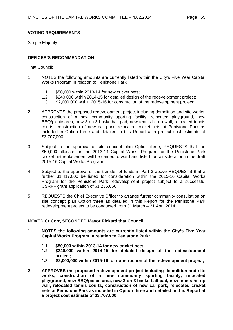# **VOTING REQUIREMENTS**

Simple Majority.

# **OFFICER'S RECOMMENDATION**

That Council:

- 1 NOTES the following amounts are currently listed within the City's Five Year Capital Works Program in relation to Penistone Park:
	- 1.1 \$50,000 within 2013-14 for new cricket nets;
	- 1.2 \$240,000 within 2014-15 for detailed design of the redevelopment project;
	- 1.3 \$2,000,000 within 2015-16 for construction of the redevelopment project;
- 2 APPROVES the proposed redevelopment project including demolition and site works, construction of a new community sporting facility, relocated playground, new BBQ/picnic area, new 3-on-3 basketball pad, new tennis hit-up wall, relocated tennis courts, construction of new car park, relocated cricket nets at Penistone Park as included in Option three and detailed in this Report at a project cost estimate of \$3,707,000;
- 3 Subject to the approval of site concept plan Option three, REQUESTS that the \$50,000 allocated in the 2013-14 Capital Works Program for the Penistone Park cricket net replacement will be carried forward and listed for consideration in the draft 2015-16 Capital Works Program;
- 4 Subject to the approval of the transfer of funds in Part 3 above REQUESTS that a further \$1,417,000 be listed for consideration within the 2015-16 Capital Works Program for the Penistone Park redevelopment project subject to a successful CSRFF grant application of \$1,235,666;
- 5 REQUESTS the Chief Executive Officer to arrange further community consultation on site concept plan Option three as detailed in this Report for the Penistone Park redevelopment project to be conducted from 31 March – 21 April 2014

# **MOVED Cr Corr, SECONDED Mayor Pickard that Council:**

- **1 NOTES the following amounts are currently listed within the City's Five Year Capital Works Program in relation to Penistone Park:** 
	- **1.1 \$50,000 within 2013-14 for new cricket nets;**
	- **1.2 \$240,000 within 2014-15 for detailed design of the redevelopment project;**
	- **1.3 \$2,000,000 within 2015-16 for construction of the redevelopment project;**
- **2 APPROVES the proposed redevelopment project including demolition and site works, construction of a new community sporting facility, relocated playground, new BBQ/picnic area, new 3-on-3 basketball pad, new tennis hit-up wall, relocated tennis courts, construction of new car park, relocated cricket nets at Penistone Park as included in Option three and detailed in this Report at a project cost estimate of \$3,707,000;**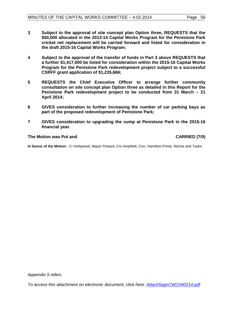- **3 Subject to the approval of site concept plan Option three, REQUESTS that the \$50,000 allocated in the 2013-14 Capital Works Program for the Penistone Park cricket net replacement will be carried forward and listed for consideration in the draft 2015-16 Capital Works Program;**
- **4 Subject to the approval of the transfer of funds in Part 3 above REQUESTS that a further \$1,417,000 be listed for consideration within the 2015-16 Capital Works Program for the Penistone Park redevelopment project subject to a successful CSRFF grant application of \$1,235,666;**
- **5 REQUESTS the Chief Executive Officer to arrange further community consultation on site concept plan Option three as detailed in this Report for the Penistone Park redevelopment project to be conducted from 31 March – 21 April 2014;**
- **6 GIVES consideration to further increasing the number of car parking bays as part of the proposed redevelopment of Penistone Park;**
- **7 GIVES consideration to upgrading the sump at Penistone Park in the 2015-16 financial year.**

#### The Motion was Put and **CARRIED** (7/0)

**In favour of the Motion:** Cr Hollywood, Mayor Pickard, Crs Amphlett, Corr, Hamilton-Prime, Ritchie and Taylor.

*Appendix 5 refers* 

*[To access this attachment on electronic document, click here: Attach5agnCWC040214.pdf](http://www.joondalup.wa.gov.au/files/committees/CWOC/2014/Attach5agnCWC040214.pdf)*